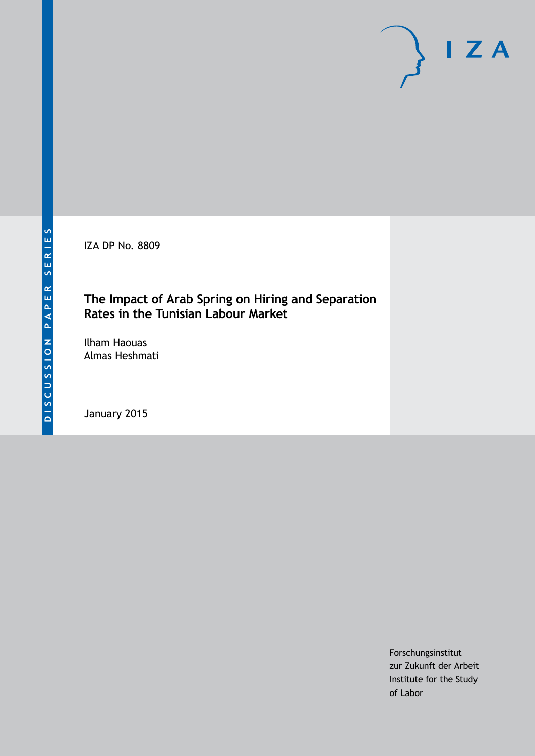IZA DP No. 8809

## **The Impact of Arab Spring on Hiring and Separation Rates in the Tunisian Labour Market**

Ilham Haouas Almas Heshmati

January 2015

Forschungsinstitut zur Zukunft der Arbeit Institute for the Study of Labor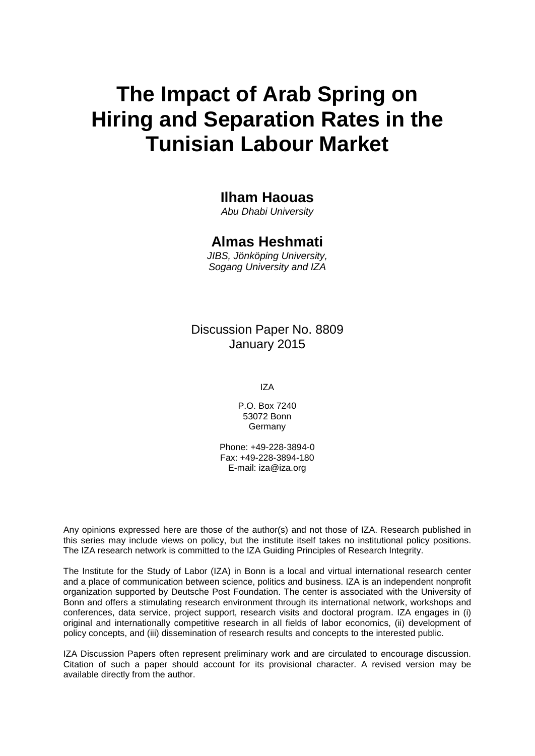# **The Impact of Arab Spring on Hiring and Separation Rates in the Tunisian Labour Market**

## **Ilham Haouas**

*Abu Dhabi University*

## **Almas Heshmati**

*JIBS, Jönköping University, Sogang University and IZA*

## Discussion Paper No. 8809 January 2015

IZA

P.O. Box 7240 53072 Bonn **Germany** 

Phone: +49-228-3894-0 Fax: +49-228-3894-180 E-mail: [iza@iza.org](mailto:iza@iza.org)

Any opinions expressed here are those of the author(s) and not those of IZA. Research published in this series may include views on policy, but the institute itself takes no institutional policy positions. The IZA research network is committed to the IZA Guiding Principles of Research Integrity.

The Institute for the Study of Labor (IZA) in Bonn is a local and virtual international research center and a place of communication between science, politics and business. IZA is an independent nonprofit organization supported by Deutsche Post Foundation. The center is associated with the University of Bonn and offers a stimulating research environment through its international network, workshops and conferences, data service, project support, research visits and doctoral program. IZA engages in (i) original and internationally competitive research in all fields of labor economics, (ii) development of policy concepts, and (iii) dissemination of research results and concepts to the interested public.

<span id="page-1-0"></span>IZA Discussion Papers often represent preliminary work and are circulated to encourage discussion. Citation of such a paper should account for its provisional character. A revised version may be available directly from the author.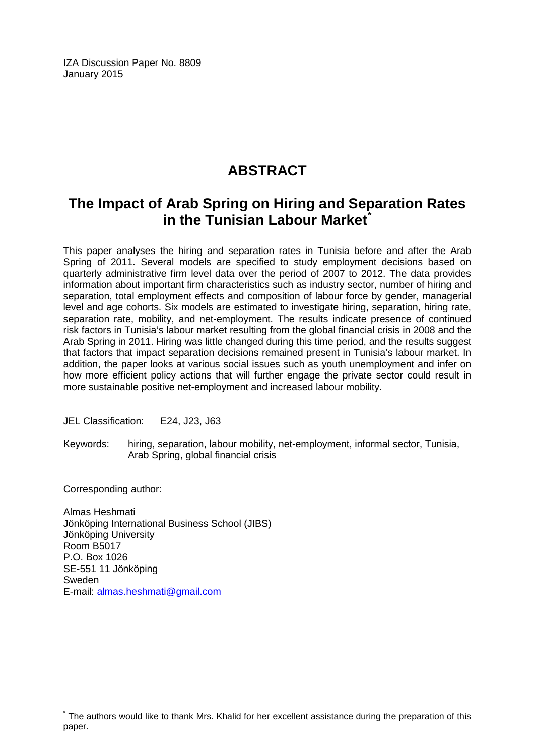IZA Discussion Paper No. 8809 January 2015

# **ABSTRACT**

# **The Impact of Arab Spring on Hiring and Separation Rates in the Tunisian Labour Market[\\*](#page-1-0)**

This paper analyses the hiring and separation rates in Tunisia before and after the Arab Spring of 2011. Several models are specified to study employment decisions based on quarterly administrative firm level data over the period of 2007 to 2012. The data provides information about important firm characteristics such as industry sector, number of hiring and separation, total employment effects and composition of labour force by gender, managerial level and age cohorts. Six models are estimated to investigate hiring, separation, hiring rate, separation rate, mobility, and net-employment. The results indicate presence of continued risk factors in Tunisia's labour market resulting from the global financial crisis in 2008 and the Arab Spring in 2011. Hiring was little changed during this time period, and the results suggest that factors that impact separation decisions remained present in Tunisia's labour market. In addition, the paper looks at various social issues such as youth unemployment and infer on how more efficient policy actions that will further engage the private sector could result in more sustainable positive net-employment and increased labour mobility.

JEL Classification: E24, J23, J63

Keywords: hiring, separation, labour mobility, net-employment, informal sector, Tunisia, Arab Spring, global financial crisis

Corresponding author:

Almas Heshmati Jönköping International Business School (JIBS) Jönköping University Room B5017 P.O. Box 1026 SE-551 11 Jönköping Sweden E-mail: [almas.heshmati@gmail.com](mailto:almas.heshmati@gmail.com)

The authors would like to thank Mrs. Khalid for her excellent assistance during the preparation of this paper.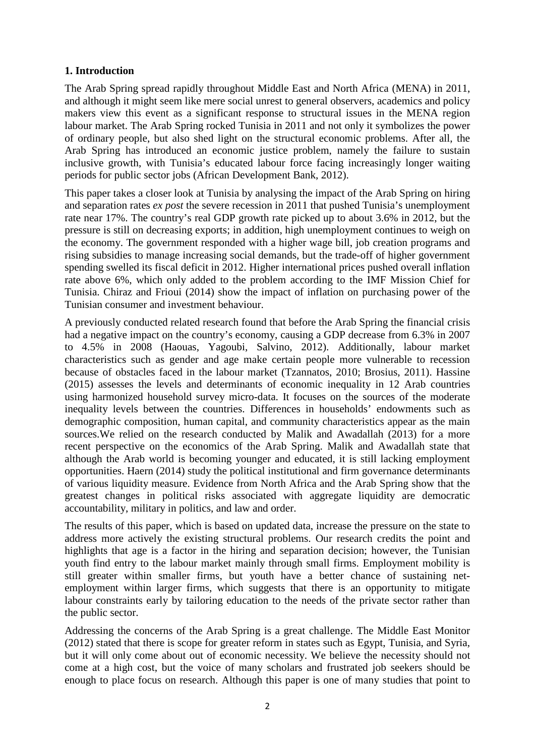#### **1. Introduction**

The Arab Spring spread rapidly throughout Middle East and North Africa (MENA) in 2011, and although it might seem like mere social unrest to general observers, academics and policy makers view this event as a significant response to structural issues in the MENA region labour market. The Arab Spring rocked Tunisia in 2011 and not only it symbolizes the power of ordinary people, but also shed light on the structural economic problems. After all, the Arab Spring has introduced an economic justice problem, namely the failure to sustain inclusive growth, with Tunisia's educated labour force facing increasingly longer waiting periods for public sector jobs (African Development Bank, 2012).

This paper takes a closer look at Tunisia by analysing the impact of the Arab Spring on hiring and separation rates *ex post* the severe recession in 2011 that pushed Tunisia's unemployment rate near 17%. The country's real GDP growth rate picked up to about 3.6% in 2012, but the pressure is still on decreasing exports; in addition, high unemployment continues to weigh on the economy. The government responded with a higher wage bill, job creation programs and rising subsidies to manage increasing social demands, but the trade-off of higher government spending swelled its fiscal deficit in 2012. Higher international prices pushed overall inflation rate above 6%, which only added to the problem according to the IMF Mission Chief for Tunisia. Chiraz and Frioui (2014) show the impact of inflation on purchasing power of the Tunisian consumer and investment behaviour.

A previously conducted related research found that before the Arab Spring the financial crisis had a negative impact on the country's economy, causing a GDP decrease from 6.3% in 2007 to 4.5% in 2008 (Haouas, Yagoubi, Salvino, 2012). Additionally, labour market characteristics such as gender and age make certain people more vulnerable to recession because of obstacles faced in the labour market (Tzannatos, 2010; Brosius, 2011). Hassine (2015) assesses the levels and determinants of economic inequality in 12 Arab countries using harmonized household survey micro-data. It focuses on the sources of the moderate inequality levels between the countries. Differences in households' endowments such as demographic composition, human capital, and community characteristics appear as the main sources.We relied on the research conducted by Malik and Awadallah (2013) for a more recent perspective on the economics of the Arab Spring. Malik and Awadallah state that although the Arab world is becoming younger and educated, it is still lacking employment opportunities. Haern (2014) study the political institutional and firm governance determinants of various liquidity measure. Evidence from North Africa and the Arab Spring show that the greatest changes in political risks associated with aggregate liquidity are democratic accountability, military in politics, and law and order.

The results of this paper, which is based on updated data, increase the pressure on the state to address more actively the existing structural problems. Our research credits the point and highlights that age is a factor in the hiring and separation decision; however, the Tunisian youth find entry to the labour market mainly through small firms. Employment mobility is still greater within smaller firms, but youth have a better chance of sustaining netemployment within larger firms, which suggests that there is an opportunity to mitigate labour constraints early by tailoring education to the needs of the private sector rather than the public sector.

Addressing the concerns of the Arab Spring is a great challenge. The Middle East Monitor (2012) stated that there is scope for greater reform in states such as Egypt, Tunisia, and Syria, but it will only come about out of economic necessity. We believe the necessity should not come at a high cost, but the voice of many scholars and frustrated job seekers should be enough to place focus on research. Although this paper is one of many studies that point to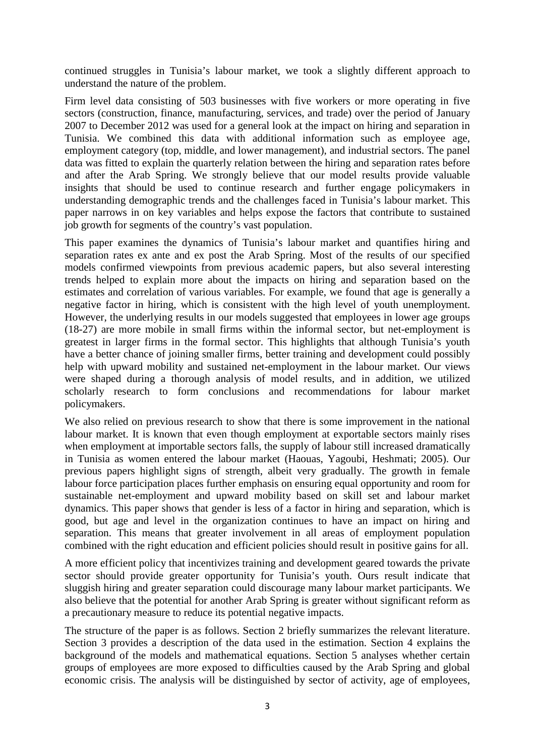continued struggles in Tunisia's labour market, we took a slightly different approach to understand the nature of the problem.

Firm level data consisting of 503 businesses with five workers or more operating in five sectors (construction, finance, manufacturing, services, and trade) over the period of January 2007 to December 2012 was used for a general look at the impact on hiring and separation in Tunisia. We combined this data with additional information such as employee age, employment category (top, middle, and lower management), and industrial sectors. The panel data was fitted to explain the quarterly relation between the hiring and separation rates before and after the Arab Spring. We strongly believe that our model results provide valuable insights that should be used to continue research and further engage policymakers in understanding demographic trends and the challenges faced in Tunisia's labour market. This paper narrows in on key variables and helps expose the factors that contribute to sustained job growth for segments of the country's vast population.

This paper examines the dynamics of Tunisia's labour market and quantifies hiring and separation rates ex ante and ex post the Arab Spring. Most of the results of our specified models confirmed viewpoints from previous academic papers, but also several interesting trends helped to explain more about the impacts on hiring and separation based on the estimates and correlation of various variables. For example, we found that age is generally a negative factor in hiring, which is consistent with the high level of youth unemployment. However, the underlying results in our models suggested that employees in lower age groups (18-27) are more mobile in small firms within the informal sector, but net-employment is greatest in larger firms in the formal sector. This highlights that although Tunisia's youth have a better chance of joining smaller firms, better training and development could possibly help with upward mobility and sustained net-employment in the labour market. Our views were shaped during a thorough analysis of model results, and in addition, we utilized scholarly research to form conclusions and recommendations for labour market policymakers.

We also relied on previous research to show that there is some improvement in the national labour market. It is known that even though employment at exportable sectors mainly rises when employment at importable sectors falls, the supply of labour still increased dramatically in Tunisia as women entered the labour market (Haouas, Yagoubi, Heshmati; 2005). Our previous papers highlight signs of strength, albeit very gradually. The growth in female labour force participation places further emphasis on ensuring equal opportunity and room for sustainable net-employment and upward mobility based on skill set and labour market dynamics. This paper shows that gender is less of a factor in hiring and separation, which is good, but age and level in the organization continues to have an impact on hiring and separation. This means that greater involvement in all areas of employment population combined with the right education and efficient policies should result in positive gains for all.

A more efficient policy that incentivizes training and development geared towards the private sector should provide greater opportunity for Tunisia's youth. Ours result indicate that sluggish hiring and greater separation could discourage many labour market participants. We also believe that the potential for another Arab Spring is greater without significant reform as a precautionary measure to reduce its potential negative impacts.

The structure of the paper is as follows. Section 2 briefly summarizes the relevant literature. Section 3 provides a description of the data used in the estimation. Section 4 explains the background of the models and mathematical equations. Section 5 analyses whether certain groups of employees are more exposed to difficulties caused by the Arab Spring and global economic crisis. The analysis will be distinguished by sector of activity, age of employees,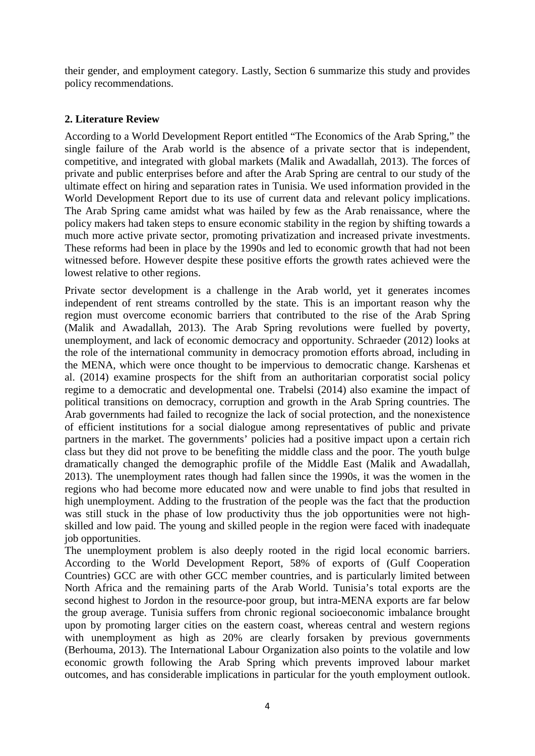their gender, and employment category. Lastly, Section 6 summarize this study and provides policy recommendations.

#### **2. Literature Review**

According to a World Development Report entitled "The Economics of the Arab Spring," the single failure of the Arab world is the absence of a private sector that is independent, competitive, and integrated with global markets (Malik and Awadallah, 2013). The forces of private and public enterprises before and after the Arab Spring are central to our study of the ultimate effect on hiring and separation rates in Tunisia. We used information provided in the World Development Report due to its use of current data and relevant policy implications. The Arab Spring came amidst what was hailed by few as the Arab renaissance, where the policy makers had taken steps to ensure economic stability in the region by shifting towards a much more active private sector, promoting privatization and increased private investments. These reforms had been in place by the 1990s and led to economic growth that had not been witnessed before. However despite these positive efforts the growth rates achieved were the lowest relative to other regions.

Private sector development is a challenge in the Arab world, yet it generates incomes independent of rent streams controlled by the state. This is an important reason why the region must overcome economic barriers that contributed to the rise of the Arab Spring (Malik and Awadallah, 2013). The Arab Spring revolutions were fuelled by poverty, unemployment, and lack of economic democracy and opportunity. Schraeder (2012) looks at the role of the international community in democracy promotion efforts abroad, including in the MENA, which were once thought to be impervious to democratic change. Karshenas et al. (2014) examine prospects for the shift from an authoritarian corporatist social policy regime to a democratic and developmental one. Trabelsi (2014) also examine the impact of political transitions on democracy, corruption and growth in the Arab Spring countries. The Arab governments had failed to recognize the lack of social protection, and the nonexistence of efficient institutions for a social dialogue among representatives of public and private partners in the market. The governments' policies had a positive impact upon a certain rich class but they did not prove to be benefiting the middle class and the poor. The youth bulge dramatically changed the demographic profile of the Middle East (Malik and Awadallah, 2013). The unemployment rates though had fallen since the 1990s, it was the women in the regions who had become more educated now and were unable to find jobs that resulted in high unemployment. Adding to the frustration of the people was the fact that the production was still stuck in the phase of low productivity thus the job opportunities were not highskilled and low paid. The young and skilled people in the region were faced with inadequate job opportunities.

The unemployment problem is also deeply rooted in the rigid local economic barriers. According to the World Development Report, 58% of exports of (Gulf Cooperation Countries) GCC are with other GCC member countries, and is particularly limited between North Africa and the remaining parts of the Arab World. Tunisia's total exports are the second highest to Jordon in the resource-poor group, but intra-MENA exports are far below the group average. Tunisia suffers from chronic regional socioeconomic imbalance brought upon by promoting larger cities on the eastern coast, whereas central and western regions with unemployment as high as 20% are clearly forsaken by previous governments (Berhouma, 2013). The International Labour Organization also points to the volatile and low economic growth following the Arab Spring which prevents improved labour market outcomes, and has considerable implications in particular for the youth employment outlook.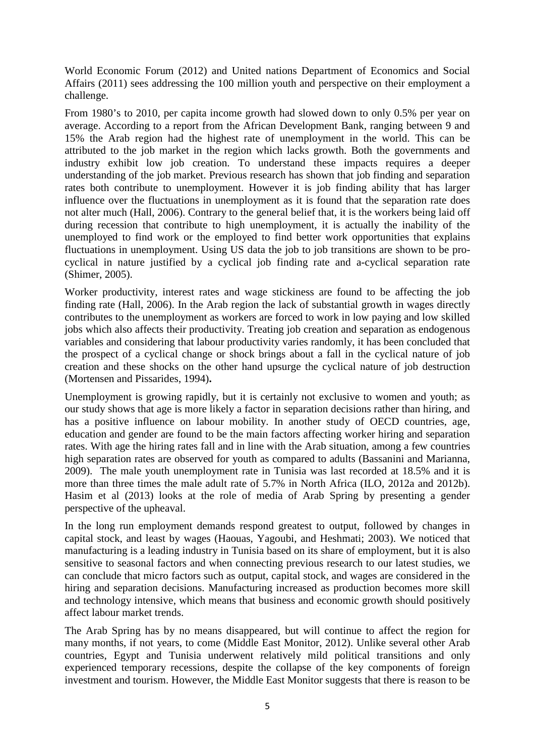World Economic Forum (2012) and United nations Department of Economics and Social Affairs (2011) sees addressing the 100 million youth and perspective on their employment a challenge.

From 1980's to 2010, per capita income growth had slowed down to only 0.5% per year on average. According to a report from the African Development Bank, ranging between 9 and 15% the Arab region had the highest rate of unemployment in the world. This can be attributed to the job market in the region which lacks growth. Both the governments and industry exhibit low job creation. To understand these impacts requires a deeper understanding of the job market. Previous research has shown that job finding and separation rates both contribute to unemployment. However it is job finding ability that has larger influence over the fluctuations in unemployment as it is found that the separation rate does not alter much (Hall, 2006). Contrary to the general belief that, it is the workers being laid off during recession that contribute to high unemployment, it is actually the inability of the unemployed to find work or the employed to find better work opportunities that explains fluctuations in unemployment. Using US data the job to job transitions are shown to be procyclical in nature justified by a cyclical job finding rate and a-cyclical separation rate (Shimer, 2005).

Worker productivity, interest rates and wage stickiness are found to be affecting the job finding rate (Hall, 2006). In the Arab region the lack of substantial growth in wages directly contributes to the unemployment as workers are forced to work in low paying and low skilled jobs which also affects their productivity. Treating job creation and separation as endogenous variables and considering that labour productivity varies randomly, it has been concluded that the prospect of a cyclical change or shock brings about a fall in the cyclical nature of job creation and these shocks on the other hand upsurge the cyclical nature of job destruction (Mortensen and Pissarides, 1994)**.**

Unemployment is growing rapidly, but it is certainly not exclusive to women and youth; as our study shows that age is more likely a factor in separation decisions rather than hiring, and has a positive influence on labour mobility. In another study of OECD countries, age, education and gender are found to be the main factors affecting worker hiring and separation rates. With age the hiring rates fall and in line with the Arab situation, among a few countries high separation rates are observed for youth as compared to adults (Bassanini and Marianna, 2009). The male youth unemployment rate in Tunisia was last recorded at 18.5% and it is more than three times the male adult rate of 5.7% in North Africa (ILO, 2012a and 2012b). Hasim et al (2013) looks at the role of media of Arab Spring by presenting a gender perspective of the upheaval.

In the long run employment demands respond greatest to output, followed by changes in capital stock, and least by wages (Haouas, Yagoubi, and Heshmati; 2003). We noticed that manufacturing is a leading industry in Tunisia based on its share of employment, but it is also sensitive to seasonal factors and when connecting previous research to our latest studies, we can conclude that micro factors such as output, capital stock, and wages are considered in the hiring and separation decisions. Manufacturing increased as production becomes more skill and technology intensive, which means that business and economic growth should positively affect labour market trends.

The Arab Spring has by no means disappeared, but will continue to affect the region for many months, if not years, to come (Middle East Monitor, 2012). Unlike several other Arab countries, Egypt and Tunisia underwent relatively mild political transitions and only experienced temporary recessions, despite the collapse of the key components of foreign investment and tourism. However, the Middle East Monitor suggests that there is reason to be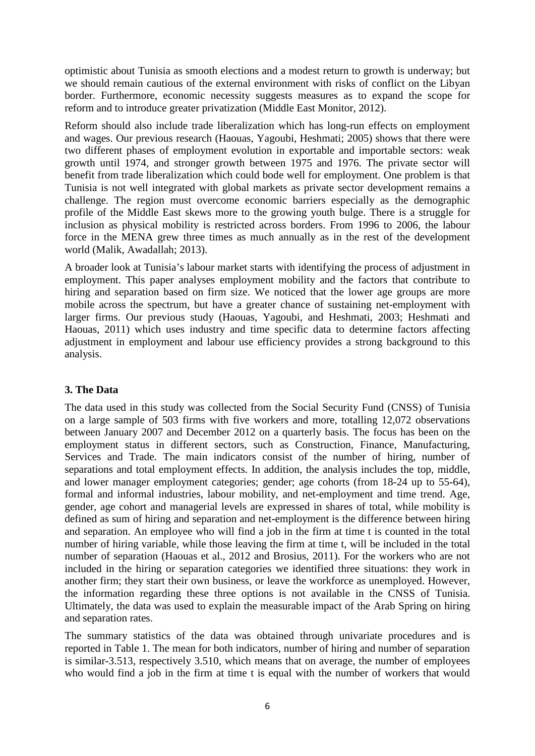optimistic about Tunisia as smooth elections and a modest return to growth is underway; but we should remain cautious of the external environment with risks of conflict on the Libyan border. Furthermore, economic necessity suggests measures as to expand the scope for reform and to introduce greater privatization (Middle East Monitor, 2012).

Reform should also include trade liberalization which has long-run effects on employment and wages. Our previous research (Haouas, Yagoubi, Heshmati; 2005) shows that there were two different phases of employment evolution in exportable and importable sectors: weak growth until 1974, and stronger growth between 1975 and 1976. The private sector will benefit from trade liberalization which could bode well for employment. One problem is that Tunisia is not well integrated with global markets as private sector development remains a challenge. The region must overcome economic barriers especially as the demographic profile of the Middle East skews more to the growing youth bulge. There is a struggle for inclusion as physical mobility is restricted across borders. From 1996 to 2006, the labour force in the MENA grew three times as much annually as in the rest of the development world (Malik, Awadallah; 2013).

A broader look at Tunisia's labour market starts with identifying the process of adjustment in employment. This paper analyses employment mobility and the factors that contribute to hiring and separation based on firm size. We noticed that the lower age groups are more mobile across the spectrum, but have a greater chance of sustaining net-employment with larger firms. Our previous study (Haouas, Yagoubi, and Heshmati, 2003; Heshmati and Haouas, 2011) which uses industry and time specific data to determine factors affecting adjustment in employment and labour use efficiency provides a strong background to this analysis.

#### **3. The Data**

The data used in this study was collected from the Social Security Fund (CNSS) of Tunisia on a large sample of 503 firms with five workers and more, totalling 12,072 observations between January 2007 and December 2012 on a quarterly basis. The focus has been on the employment status in different sectors, such as Construction, Finance, Manufacturing, Services and Trade. The main indicators consist of the number of hiring, number of separations and total employment effects. In addition, the analysis includes the top, middle, and lower manager employment categories; gender; age cohorts (from 18-24 up to 55-64), formal and informal industries, labour mobility, and net-employment and time trend. Age, gender, age cohort and managerial levels are expressed in shares of total, while mobility is defined as sum of hiring and separation and net-employment is the difference between hiring and separation. An employee who will find a job in the firm at time t is counted in the total number of hiring variable, while those leaving the firm at time t, will be included in the total number of separation (Haouas et al., 2012 and Brosius, 2011). For the workers who are not included in the hiring or separation categories we identified three situations: they work in another firm; they start their own business, or leave the workforce as unemployed. However, the information regarding these three options is not available in the CNSS of Tunisia. Ultimately, the data was used to explain the measurable impact of the Arab Spring on hiring and separation rates.

The summary statistics of the data was obtained through univariate procedures and is reported in Table 1. The mean for both indicators, number of hiring and number of separation is similar-3.513, respectively 3.510, which means that on average, the number of employees who would find a job in the firm at time t is equal with the number of workers that would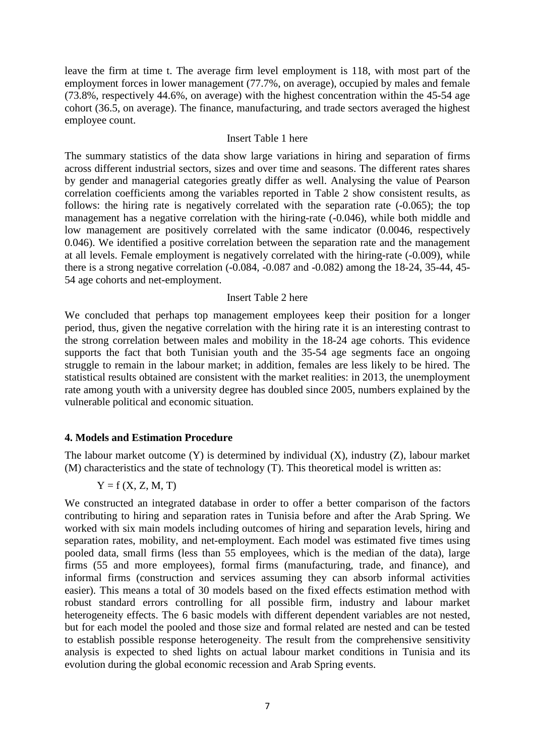leave the firm at time t. The average firm level employment is 118, with most part of the employment forces in lower management (77.7%, on average), occupied by males and female (73.8%, respectively 44.6%, on average) with the highest concentration within the 45-54 age cohort (36.5, on average). The finance, manufacturing, and trade sectors averaged the highest employee count.

#### Insert Table 1 here

The summary statistics of the data show large variations in hiring and separation of firms across different industrial sectors, sizes and over time and seasons. The different rates shares by gender and managerial categories greatly differ as well. Analysing the value of Pearson correlation coefficients among the variables reported in Table 2 show consistent results, as follows: the hiring rate is negatively correlated with the separation rate (-0.065); the top management has a negative correlation with the hiring-rate (-0.046), while both middle and low management are positively correlated with the same indicator (0.0046, respectively 0.046). We identified a positive correlation between the separation rate and the management at all levels. Female employment is negatively correlated with the hiring-rate (-0.009), while there is a strong negative correlation (-0.084, -0.087 and -0.082) among the 18-24, 35-44, 45- 54 age cohorts and net-employment.

#### Insert Table 2 here

We concluded that perhaps top management employees keep their position for a longer period, thus, given the negative correlation with the hiring rate it is an interesting contrast to the strong correlation between males and mobility in the 18-24 age cohorts. This evidence supports the fact that both Tunisian youth and the 35-54 age segments face an ongoing struggle to remain in the labour market; in addition, females are less likely to be hired. The statistical results obtained are consistent with the market realities: in 2013, the unemployment rate among youth with a university degree has doubled since 2005, numbers explained by the vulnerable political and economic situation.

#### **4. Models and Estimation Procedure**

The labour market outcome (Y) is determined by individual (X), industry (Z), labour market (M) characteristics and the state of technology (T). This theoretical model is written as:

 $Y = f(X, Z, M, T)$ 

We constructed an integrated database in order to offer a better comparison of the factors contributing to hiring and separation rates in Tunisia before and after the Arab Spring. We worked with six main models including outcomes of hiring and separation levels, hiring and separation rates, mobility, and net-employment. Each model was estimated five times using pooled data, small firms (less than 55 employees, which is the median of the data), large firms (55 and more employees), formal firms (manufacturing, trade, and finance), and informal firms (construction and services assuming they can absorb informal activities easier). This means a total of 30 models based on the fixed effects estimation method with robust standard errors controlling for all possible firm, industry and labour market heterogeneity effects. The 6 basic models with different dependent variables are not nested, but for each model the pooled and those size and formal related are nested and can be tested to establish possible response heterogeneity. The result from the comprehensive sensitivity analysis is expected to shed lights on actual labour market conditions in Tunisia and its evolution during the global economic recession and Arab Spring events.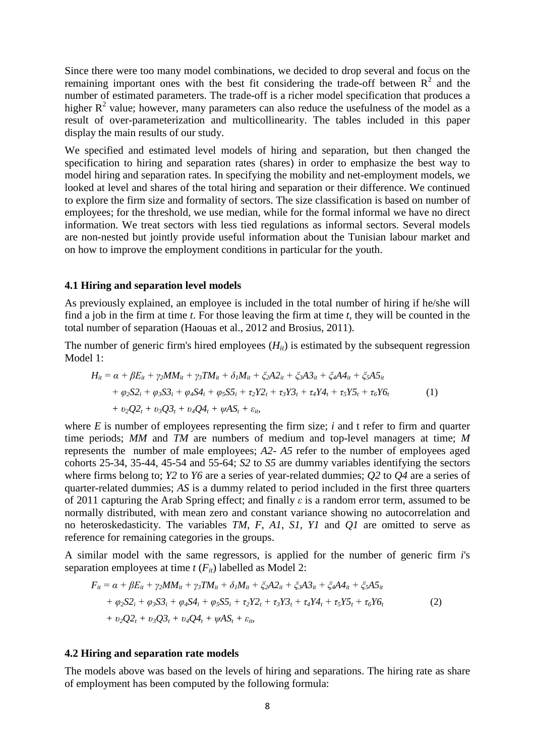Since there were too many model combinations, we decided to drop several and focus on the remaining important ones with the best fit considering the trade-off between  $R^2$  and the number of estimated parameters. The trade-off is a richer model specification that produces a higher  $R^2$  value; however, many parameters can also reduce the usefulness of the model as a result of over-parameterization and multicollinearity. The tables included in this paper display the main results of our study.

We specified and estimated level models of hiring and separation, but then changed the specification to hiring and separation rates (shares) in order to emphasize the best way to model hiring and separation rates. In specifying the mobility and net-employment models, we looked at level and shares of the total hiring and separation or their difference. We continued to explore the firm size and formality of sectors. The size classification is based on number of employees; for the threshold, we use median, while for the formal informal we have no direct information. We treat sectors with less tied regulations as informal sectors. Several models are non-nested but jointly provide useful information about the Tunisian labour market and on how to improve the employment conditions in particular for the youth.

#### **4.1 Hiring and separation level models**

As previously explained, an employee is included in the total number of hiring if he/she will find a job in the firm at time *t*. For those leaving the firm at time *t*, they will be counted in the total number of separation (Haouas et al., 2012 and Brosius, 2011).

The number of generic firm's hired employees  $(H_{it})$  is estimated by the subsequent regression Model 1:

$$
H_{it} = \alpha + \beta E_{it} + \gamma_2 M M_{it} + \gamma_3 T M_{it} + \delta_1 M_{it} + \xi_2 A 2_{it} + \xi_3 A 3_{it} + \xi_4 A 4_{it} + \xi_5 A 5_{it}
$$
  
+  $\varphi_2 S 2_i + \varphi_3 S 3_i + \varphi_4 S 4_i + \varphi_5 S 5_i + \tau_2 Y 2_t + \tau_3 Y 3_t + \tau_4 Y 4_t + \tau_5 Y 5_t + \tau_6 Y 6_t$   
+  $\upsilon_2 Q 2_t + \upsilon_3 Q 3_t + \upsilon_4 Q 4_t + \psi A S_t + \varepsilon_{it}$  (1)

where *E* is number of employees representing the firm size; *i* and t refer to firm and quarter time periods; *MM* and *TM* are numbers of medium and top-level managers at time; *M* represents the number of male employees; *A2*- *A5* refer to the number of employees aged cohorts 25-34, 35-44, 45-54 and 55-64; *S2* to *S5* are dummy variables identifying the sectors where firms belong to; *Y2* to *Y6* are a series of year-related dummies; *Q2* to *Q4* are a series of quarter-related dummies; *AS* is a dummy related to period included in the first three quarters of 2011 capturing the Arab Spring effect; and finally *ε* is a random error term, assumed to be normally distributed, with mean zero and constant variance showing no autocorrelation and no heteroskedasticity. The variables *TM*, *F*, *A1*, *S1, Y1* and *Q1* are omitted to serve as reference for remaining categories in the groups.

A similar model with the same regressors, is applied for the number of generic firm *i*'s separation employees at time  $t(F_{it})$  labelled as Model 2:

$$
F_{it} = \alpha + \beta E_{it} + \gamma_2 M M_{it} + \gamma_3 T M_{it} + \delta_1 M_{it} + \xi_2 A 2_{it} + \xi_3 A 3_{it} + \xi_4 A 4_{it} + \xi_5 A 5_{it}
$$
  
+  $\varphi_2 S 2_i + \varphi_3 S 3_i + \varphi_4 S 4_i + \varphi_5 S 5_i + \tau_2 Y 2_t + \tau_3 Y 3_t + \tau_4 Y 4_t + \tau_5 Y 5_t + \tau_6 Y 6_t$   
+  $\upsilon_2 Q 2_t + \upsilon_3 Q 3_t + \upsilon_4 Q 4_t + \psi A S_t + \varepsilon_{it}$  (2)

#### **4.2 Hiring and separation rate models**

The models above was based on the levels of hiring and separations. The hiring rate as share of employment has been computed by the following formula: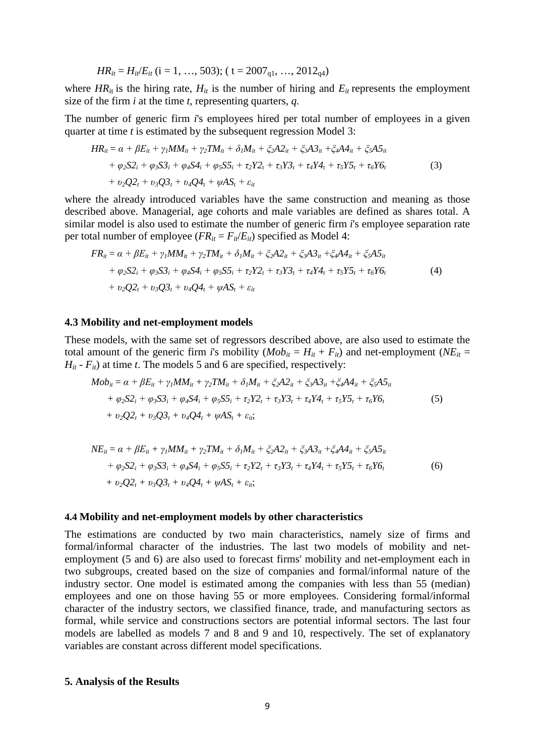$$
HR_{it} = H_{it}/E_{it} \ (i = 1, \ldots, 503); \ (t = 2007_{q1}, \ldots, 2012_{q4})
$$

where  $HR_{it}$  is the hiring rate,  $H_{it}$  is the number of hiring and  $E_{it}$  represents the employment size of the firm *i* at the time *t,* representing quarters, *q.*

The number of generic firm *i*'s employees hired per total number of employees in a given quarter at time *t* is estimated by the subsequent regression Model 3:

$$
HR_{it} = \alpha + \beta E_{it} + \gamma_l MM_{it} + \gamma_2 TM_{it} + \delta_l M_{it} + \xi_2 A 2_{it} + \xi_3 A 3_{it} + \xi_4 A 4_{it} + \xi_5 A 5_{it}
$$
  
+  $\varphi_2 S 2_i + \varphi_3 S 3_i + \varphi_4 S 4_i + \varphi_5 S 5_i + \tau_2 Y 2_t + \tau_3 Y 3_t + \tau_4 Y 4_t + \tau_5 Y 5_t + \tau_6 Y 6_t$   
+  $\upsilon_2 Q 2_t + \upsilon_3 Q 3_t + \upsilon_4 Q 4_t + \psi A S_t + \varepsilon_{it}$  (3)

where the already introduced variables have the same construction and meaning as those described above. Managerial, age cohorts and male variables are defined as shares total. A similar model is also used to estimate the number of generic firm *i*'s employee separation rate per total number of employee  $(FR_{it} = F_{it}/E_{it})$  specified as Model 4:

$$
FR_{it} = \alpha + \beta E_{it} + \gamma_l MM_{it} + \gamma_2 TM_{it} + \delta_l M_{it} + \xi_2 A 2_{it} + \xi_3 A 3_{it} + \xi_4 A 4_{it} + \xi_5 A 5_{it}
$$
  
+  $\varphi_2 S 2_i + \varphi_3 S 3_i + \varphi_4 S 4_i + \varphi_5 S 5_i + \tau_2 Y 2_t + \tau_3 Y 3_t + \tau_4 Y 4_t + \tau_5 Y 5_t + \tau_6 Y 6_t$   
+  $\upsilon_2 Q 2_t + \upsilon_3 Q 3_t + \upsilon_4 Q 4_t + \psi A 5_t + \varepsilon_{it}$  (4)

#### **4.3 Mobility and net-employment models**

These models, with the same set of regressors described above, are also used to estimate the total amount of the generic firm *i*'s mobility  $(Mob_{it} = H_{it} + F_{it})$  and net-employment ( $NE_{it} =$  $H_{it}$  -  $F_{it}$ ) at time *t*. The models 5 and 6 are specified, respectively:

$$
Mob_{it} = \alpha + \beta E_{it} + \gamma_l M M_{it} + \gamma_2 T M_{it} + \delta_l M_{it} + \xi_2 A 2_{it} + \xi_3 A 3_{it} + \xi_4 A 4_{it} + \xi_5 A 5_{it}
$$
  
+  $\varphi_2 S 2_i + \varphi_3 S 3_i + \varphi_4 S 4_i + \varphi_5 S 5_i + \tau_2 Y 2_t + \tau_3 Y 3_t + \tau_4 Y 4_t + \tau_5 Y 5_t + \tau_6 Y 6_t$   
+  $v_2 Q 2_t + v_3 Q 3_t + v_4 Q 4_t + \psi A S_t + \varepsilon_{it};$  (5)

$$
NE_{it} = \alpha + \beta E_{it} + \gamma_l MM_{it} + \gamma_2 TM_{it} + \delta_l M_{it} + \xi_2 A 2_{it} + \xi_3 A 3_{it} + \xi_4 A 4_{it} + \xi_5 A 5_{it} + \varphi_2 S 2_i + \varphi_3 S 3_i + \varphi_4 S 4_i + \varphi_5 S 5_i + \tau_2 Y 2_t + \tau_3 Y 3_t + \tau_4 Y 4_t + \tau_5 Y 5_t + \tau_6 Y 6_t + \upsilon_2 Q 2_t + \upsilon_3 Q 3_t + \upsilon_4 Q 4_t + \psi A S_t + \varepsilon_{it};
$$
\n(6)

#### **4.4 Mobility and net-employment models by other characteristics**

The estimations are conducted by two main characteristics, namely size of firms and formal/informal character of the industries. The last two models of mobility and netemployment (5 and 6) are also used to forecast firms' mobility and net-employment each in two subgroups, created based on the size of companies and formal/informal nature of the industry sector. One model is estimated among the companies with less than 55 (median) employees and one on those having 55 or more employees. Considering formal/informal character of the industry sectors, we classified finance, trade, and manufacturing sectors as formal, while service and constructions sectors are potential informal sectors. The last four models are labelled as models 7 and 8 and 9 and 10, respectively. The set of explanatory variables are constant across different model specifications.

#### **5. Analysis of the Results**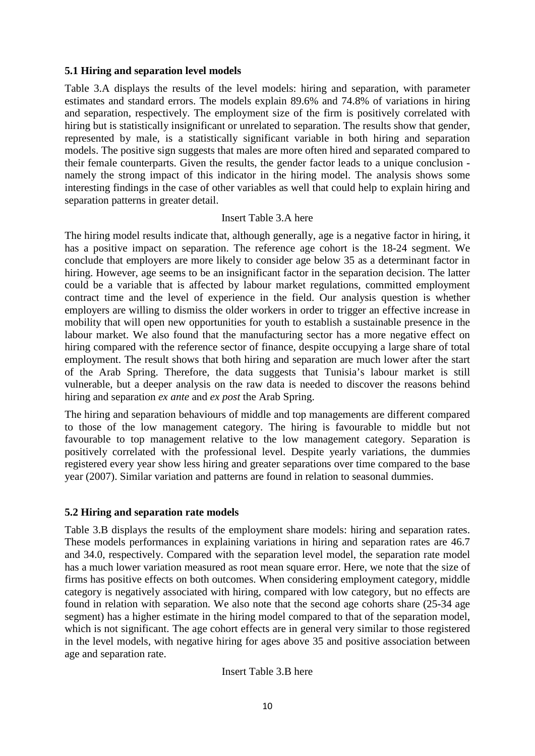#### **5.1 Hiring and separation level models**

Table 3.A displays the results of the level models: hiring and separation, with parameter estimates and standard errors. The models explain 89.6% and 74.8% of variations in hiring and separation, respectively. The employment size of the firm is positively correlated with hiring but is statistically insignificant or unrelated to separation. The results show that gender, represented by male, is a statistically significant variable in both hiring and separation models. The positive sign suggests that males are more often hired and separated compared to their female counterparts. Given the results, the gender factor leads to a unique conclusion namely the strong impact of this indicator in the hiring model. The analysis shows some interesting findings in the case of other variables as well that could help to explain hiring and separation patterns in greater detail.

#### Insert Table 3.A here

The hiring model results indicate that, although generally, age is a negative factor in hiring, it has a positive impact on separation. The reference age cohort is the 18-24 segment. We conclude that employers are more likely to consider age below 35 as a determinant factor in hiring. However, age seems to be an insignificant factor in the separation decision. The latter could be a variable that is affected by labour market regulations, committed employment contract time and the level of experience in the field. Our analysis question is whether employers are willing to dismiss the older workers in order to trigger an effective increase in mobility that will open new opportunities for youth to establish a sustainable presence in the labour market. We also found that the manufacturing sector has a more negative effect on hiring compared with the reference sector of finance, despite occupying a large share of total employment. The result shows that both hiring and separation are much lower after the start of the Arab Spring. Therefore, the data suggests that Tunisia's labour market is still vulnerable, but a deeper analysis on the raw data is needed to discover the reasons behind hiring and separation *ex ante* and *ex post* the Arab Spring.

The hiring and separation behaviours of middle and top managements are different compared to those of the low management category. The hiring is favourable to middle but not favourable to top management relative to the low management category. Separation is positively correlated with the professional level. Despite yearly variations, the dummies registered every year show less hiring and greater separations over time compared to the base year (2007). Similar variation and patterns are found in relation to seasonal dummies.

#### **5.2 Hiring and separation rate models**

Table 3.B displays the results of the employment share models: hiring and separation rates. These models performances in explaining variations in hiring and separation rates are 46.7 and 34.0, respectively. Compared with the separation level model, the separation rate model has a much lower variation measured as root mean square error. Here, we note that the size of firms has positive effects on both outcomes. When considering employment category, middle category is negatively associated with hiring, compared with low category, but no effects are found in relation with separation. We also note that the second age cohorts share (25-34 age segment) has a higher estimate in the hiring model compared to that of the separation model, which is not significant. The age cohort effects are in general very similar to those registered in the level models, with negative hiring for ages above 35 and positive association between age and separation rate.

Insert Table 3.B here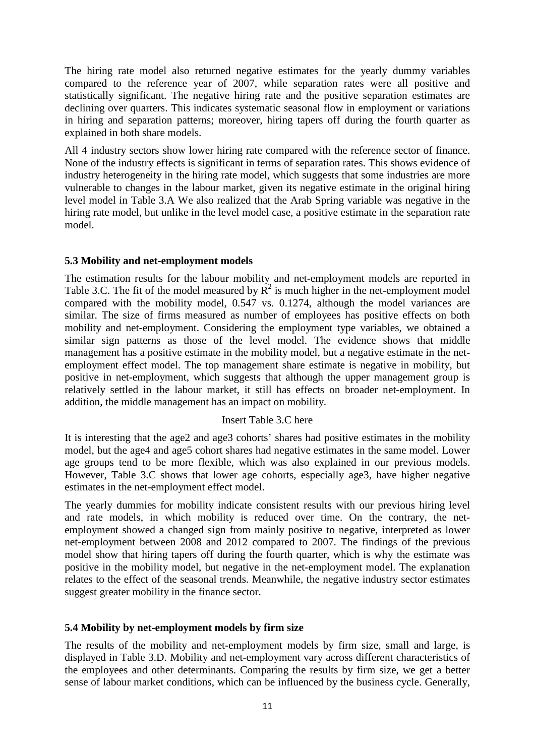The hiring rate model also returned negative estimates for the yearly dummy variables compared to the reference year of 2007, while separation rates were all positive and statistically significant. The negative hiring rate and the positive separation estimates are declining over quarters. This indicates systematic seasonal flow in employment or variations in hiring and separation patterns; moreover, hiring tapers off during the fourth quarter as explained in both share models.

All 4 industry sectors show lower hiring rate compared with the reference sector of finance. None of the industry effects is significant in terms of separation rates. This shows evidence of industry heterogeneity in the hiring rate model, which suggests that some industries are more vulnerable to changes in the labour market, given its negative estimate in the original hiring level model in Table 3.A We also realized that the Arab Spring variable was negative in the hiring rate model, but unlike in the level model case, a positive estimate in the separation rate model.

#### **5.3 Mobility and net-employment models**

The estimation results for the labour mobility and net-employment models are reported in Table 3.C. The fit of the model measured by  $R^2$  is much higher in the net-employment model compared with the mobility model, 0.547 vs. 0.1274, although the model variances are similar. The size of firms measured as number of employees has positive effects on both mobility and net-employment. Considering the employment type variables, we obtained a similar sign patterns as those of the level model. The evidence shows that middle management has a positive estimate in the mobility model, but a negative estimate in the netemployment effect model. The top management share estimate is negative in mobility, but positive in net-employment, which suggests that although the upper management group is relatively settled in the labour market, it still has effects on broader net-employment. In addition, the middle management has an impact on mobility.

#### Insert Table 3.C here

It is interesting that the age2 and age3 cohorts' shares had positive estimates in the mobility model, but the age4 and age5 cohort shares had negative estimates in the same model. Lower age groups tend to be more flexible, which was also explained in our previous models. However, Table 3.C shows that lower age cohorts, especially age3, have higher negative estimates in the net-employment effect model.

The yearly dummies for mobility indicate consistent results with our previous hiring level and rate models, in which mobility is reduced over time. On the contrary, the netemployment showed a changed sign from mainly positive to negative, interpreted as lower net-employment between 2008 and 2012 compared to 2007. The findings of the previous model show that hiring tapers off during the fourth quarter, which is why the estimate was positive in the mobility model, but negative in the net-employment model. The explanation relates to the effect of the seasonal trends. Meanwhile, the negative industry sector estimates suggest greater mobility in the finance sector.

#### **5.4 Mobility by net-employment models by firm size**

The results of the mobility and net-employment models by firm size, small and large, is displayed in Table 3.D. Mobility and net-employment vary across different characteristics of the employees and other determinants. Comparing the results by firm size, we get a better sense of labour market conditions, which can be influenced by the business cycle. Generally,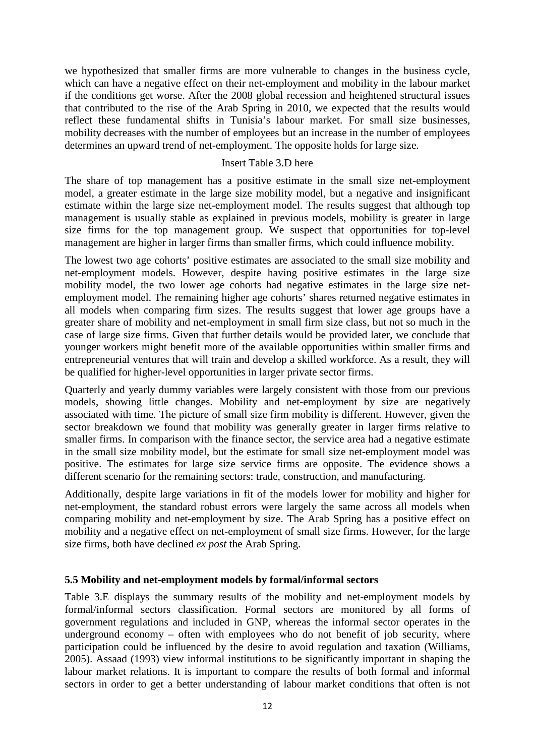we hypothesized that smaller firms are more vulnerable to changes in the business cycle, which can have a negative effect on their net-employment and mobility in the labour market if the conditions get worse. After the 2008 global recession and heightened structural issues that contributed to the rise of the Arab Spring in 2010, we expected that the results would reflect these fundamental shifts in Tunisia's labour market. For small size businesses, mobility decreases with the number of employees but an increase in the number of employees determines an upward trend of net-employment. The opposite holds for large size.

#### Insert Table 3.D here

The share of top management has a positive estimate in the small size net-employment model, a greater estimate in the large size mobility model, but a negative and insignificant estimate within the large size net-employment model. The results suggest that although top management is usually stable as explained in previous models, mobility is greater in large size firms for the top management group. We suspect that opportunities for top-level management are higher in larger firms than smaller firms, which could influence mobility.

The lowest two age cohorts' positive estimates are associated to the small size mobility and net-employment models. However, despite having positive estimates in the large size mobility model, the two lower age cohorts had negative estimates in the large size netemployment model. The remaining higher age cohorts' shares returned negative estimates in all models when comparing firm sizes. The results suggest that lower age groups have a greater share of mobility and net-employment in small firm size class, but not so much in the case of large size firms. Given that further details would be provided later, we conclude that younger workers might benefit more of the available opportunities within smaller firms and entrepreneurial ventures that will train and develop a skilled workforce. As a result, they will be qualified for higher-level opportunities in larger private sector firms.

Quarterly and yearly dummy variables were largely consistent with those from our previous models, showing little changes. Mobility and net-employment by size are negatively associated with time. The picture of small size firm mobility is different. However, given the sector breakdown we found that mobility was generally greater in larger firms relative to smaller firms. In comparison with the finance sector, the service area had a negative estimate in the small size mobility model, but the estimate for small size net-employment model was positive. The estimates for large size service firms are opposite. The evidence shows a different scenario for the remaining sectors: trade, construction, and manufacturing.

Additionally, despite large variations in fit of the models lower for mobility and higher for net-employment, the standard robust errors were largely the same across all models when comparing mobility and net-employment by size. The Arab Spring has a positive effect on mobility and a negative effect on net-employment of small size firms. However, for the large size firms, both have declined *ex post* the Arab Spring.

#### **5.5 Mobility and net-employment models by formal/informal sectors**

Table 3.E displays the summary results of the mobility and net-employment models by formal/informal sectors classification. Formal sectors are monitored by all forms of government regulations and included in GNP, whereas the informal sector operates in the underground economy – often with employees who do not benefit of job security, where participation could be influenced by the desire to avoid regulation and taxation (Williams, 2005). Assaad (1993) view informal institutions to be significantly important in shaping the labour market relations. It is important to compare the results of both formal and informal sectors in order to get a better understanding of labour market conditions that often is not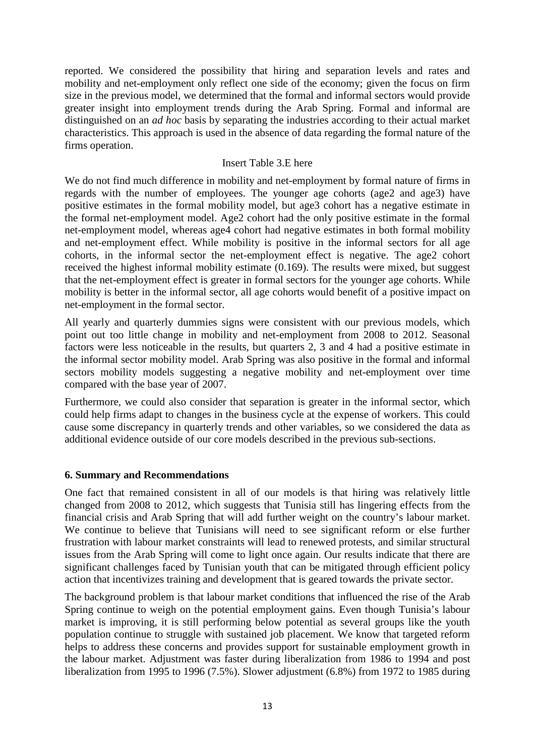reported. We considered the possibility that hiring and separation levels and rates and mobility and net-employment only reflect one side of the economy; given the focus on firm size in the previous model, we determined that the formal and informal sectors would provide greater insight into employment trends during the Arab Spring. Formal and informal are distinguished on an *ad hoc* basis by separating the industries according to their actual market characteristics. This approach is used in the absence of data regarding the formal nature of the firms operation.

#### Insert Table 3.E here

We do not find much difference in mobility and net-employment by formal nature of firms in regards with the number of employees. The younger age cohorts (age2 and age3) have positive estimates in the formal mobility model, but age3 cohort has a negative estimate in the formal net-employment model. Age2 cohort had the only positive estimate in the formal net-employment model, whereas age4 cohort had negative estimates in both formal mobility and net-employment effect. While mobility is positive in the informal sectors for all age cohorts, in the informal sector the net-employment effect is negative. The age2 cohort received the highest informal mobility estimate (0.169). The results were mixed, but suggest that the net-employment effect is greater in formal sectors for the younger age cohorts. While mobility is better in the informal sector, all age cohorts would benefit of a positive impact on net-employment in the formal sector.

All yearly and quarterly dummies signs were consistent with our previous models, which point out too little change in mobility and net-employment from 2008 to 2012. Seasonal factors were less noticeable in the results, but quarters 2, 3 and 4 had a positive estimate in the informal sector mobility model. Arab Spring was also positive in the formal and informal sectors mobility models suggesting a negative mobility and net-employment over time compared with the base year of 2007.

Furthermore, we could also consider that separation is greater in the informal sector, which could help firms adapt to changes in the business cycle at the expense of workers. This could cause some discrepancy in quarterly trends and other variables, so we considered the data as additional evidence outside of our core models described in the previous sub-sections.

#### **6. Summary and Recommendations**

One fact that remained consistent in all of our models is that hiring was relatively little changed from 2008 to 2012, which suggests that Tunisia still has lingering effects from the financial crisis and Arab Spring that will add further weight on the country's labour market. We continue to believe that Tunisians will need to see significant reform or else further frustration with labour market constraints will lead to renewed protests, and similar structural issues from the Arab Spring will come to light once again. Our results indicate that there are significant challenges faced by Tunisian youth that can be mitigated through efficient policy action that incentivizes training and development that is geared towards the private sector.

The background problem is that labour market conditions that influenced the rise of the Arab Spring continue to weigh on the potential employment gains. Even though Tunisia's labour market is improving, it is still performing below potential as several groups like the youth population continue to struggle with sustained job placement. We know that targeted reform helps to address these concerns and provides support for sustainable employment growth in the labour market. Adjustment was faster during liberalization from 1986 to 1994 and post liberalization from 1995 to 1996 (7.5%). Slower adjustment (6.8%) from 1972 to 1985 during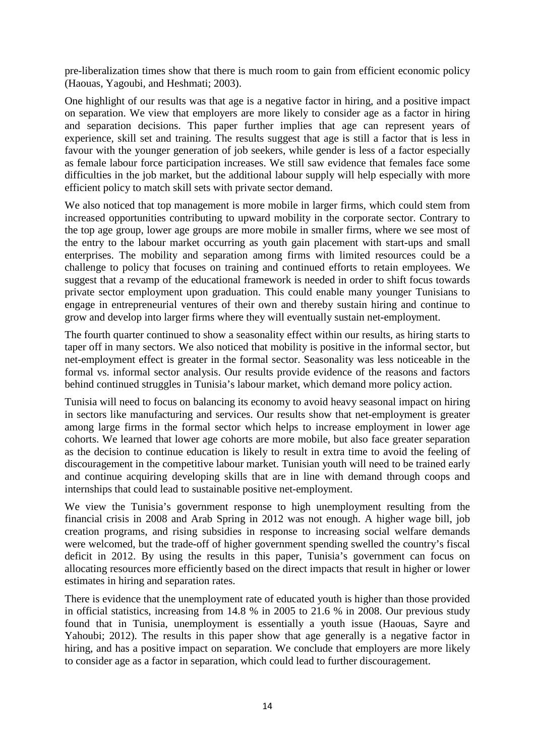pre-liberalization times show that there is much room to gain from efficient economic policy (Haouas, Yagoubi, and Heshmati; 2003).

One highlight of our results was that age is a negative factor in hiring, and a positive impact on separation. We view that employers are more likely to consider age as a factor in hiring and separation decisions. This paper further implies that age can represent years of experience, skill set and training. The results suggest that age is still a factor that is less in favour with the younger generation of job seekers, while gender is less of a factor especially as female labour force participation increases. We still saw evidence that females face some difficulties in the job market, but the additional labour supply will help especially with more efficient policy to match skill sets with private sector demand.

We also noticed that top management is more mobile in larger firms, which could stem from increased opportunities contributing to upward mobility in the corporate sector. Contrary to the top age group, lower age groups are more mobile in smaller firms, where we see most of the entry to the labour market occurring as youth gain placement with start-ups and small enterprises. The mobility and separation among firms with limited resources could be a challenge to policy that focuses on training and continued efforts to retain employees. We suggest that a revamp of the educational framework is needed in order to shift focus towards private sector employment upon graduation. This could enable many younger Tunisians to engage in entrepreneurial ventures of their own and thereby sustain hiring and continue to grow and develop into larger firms where they will eventually sustain net-employment.

The fourth quarter continued to show a seasonality effect within our results, as hiring starts to taper off in many sectors. We also noticed that mobility is positive in the informal sector, but net-employment effect is greater in the formal sector. Seasonality was less noticeable in the formal vs. informal sector analysis. Our results provide evidence of the reasons and factors behind continued struggles in Tunisia's labour market, which demand more policy action.

Tunisia will need to focus on balancing its economy to avoid heavy seasonal impact on hiring in sectors like manufacturing and services. Our results show that net-employment is greater among large firms in the formal sector which helps to increase employment in lower age cohorts. We learned that lower age cohorts are more mobile, but also face greater separation as the decision to continue education is likely to result in extra time to avoid the feeling of discouragement in the competitive labour market. Tunisian youth will need to be trained early and continue acquiring developing skills that are in line with demand through coops and internships that could lead to sustainable positive net-employment.

We view the Tunisia's government response to high unemployment resulting from the financial crisis in 2008 and Arab Spring in 2012 was not enough. A higher wage bill, job creation programs, and rising subsidies in response to increasing social welfare demands were welcomed, but the trade-off of higher government spending swelled the country's fiscal deficit in 2012. By using the results in this paper, Tunisia's government can focus on allocating resources more efficiently based on the direct impacts that result in higher or lower estimates in hiring and separation rates.

There is evidence that the unemployment rate of educated youth is higher than those provided in official statistics, increasing from 14.8 % in 2005 to 21.6 % in 2008. Our previous study found that in Tunisia, unemployment is essentially a youth issue (Haouas, Sayre and Yahoubi; 2012). The results in this paper show that age generally is a negative factor in hiring, and has a positive impact on separation. We conclude that employers are more likely to consider age as a factor in separation, which could lead to further discouragement.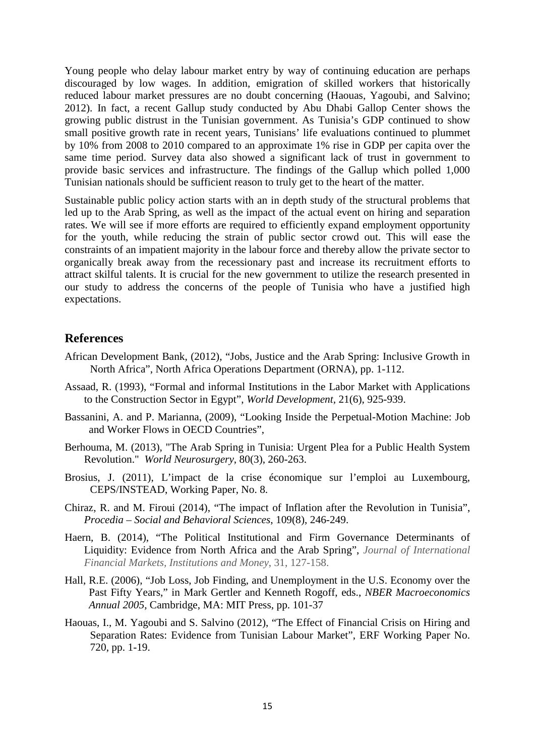Young people who delay labour market entry by way of continuing education are perhaps discouraged by low wages. In addition, emigration of skilled workers that historically reduced labour market pressures are no doubt concerning (Haouas, Yagoubi, and Salvino; 2012). In fact, a recent Gallup study conducted by Abu Dhabi Gallop Center shows the growing public distrust in the Tunisian government. As Tunisia's GDP continued to show small positive growth rate in recent years, Tunisians' life evaluations continued to plummet by 10% from 2008 to 2010 compared to an approximate 1% rise in GDP per capita over the same time period. Survey data also showed a significant lack of trust in government to provide basic services and infrastructure. The findings of the Gallup which polled 1,000 Tunisian nationals should be sufficient reason to truly get to the heart of the matter.

Sustainable public policy action starts with an in depth study of the structural problems that led up to the Arab Spring, as well as the impact of the actual event on hiring and separation rates. We will see if more efforts are required to efficiently expand employment opportunity for the youth, while reducing the strain of public sector crowd out. This will ease the constraints of an impatient majority in the labour force and thereby allow the private sector to organically break away from the recessionary past and increase its recruitment efforts to attract skilful talents. It is crucial for the new government to utilize the research presented in our study to address the concerns of the people of Tunisia who have a justified high expectations.

#### **References**

- African Development Bank, (2012), "Jobs, Justice and the Arab Spring: Inclusive Growth in North Africa", North Africa Operations Department (ORNA), pp. 1-112.
- Assaad, R. (1993), "Formal and informal Institutions in the Labor Market with Applications to the Construction Sector in Egypt", *World Development,* 21(6), 925-939.
- Bassanini, A. and P. Marianna, (2009), "Looking Inside the Perpetual-Motion Machine: Job and Worker Flows in OECD Countries",
- Berhouma, M. (2013), "The Arab Spring in Tunisia: Urgent Plea for a Public Health System Revolution." *World Neurosurgery*, 80(3), 260-263.
- Brosius, J. (2011), L'impact de la crise économique sur l'emploi au Luxembourg, CEPS/INSTEAD, Working Paper, No. 8.
- Chiraz, R. and M. Firoui (2014), "The impact of Inflation after the Revolution in Tunisia", *Procedia – Social and Behavioral Sciences*, 109(8), 246-249.
- Haern, B. (2014), "The Political Institutional and Firm Governance Determinants of Liquidity: Evidence from North Africa and the Arab Spring", *Journal of International Financial Markets, Institutions and Money*, 31, 127-158.
- Hall, R.E. (2006), "Job Loss, Job Finding, and Unemployment in the U.S. Economy over the Past Fifty Years," in Mark Gertler and Kenneth Rogoff, eds., *NBER Macroeconomics Annual 2005*, Cambridge, MA: MIT Press, pp. 101-37
- Haouas, I., M. Yagoubi and S. Salvino (2012), "The Effect of Financial Crisis on Hiring and Separation Rates: Evidence from Tunisian Labour Market", ERF Working Paper No. 720, pp. 1-19.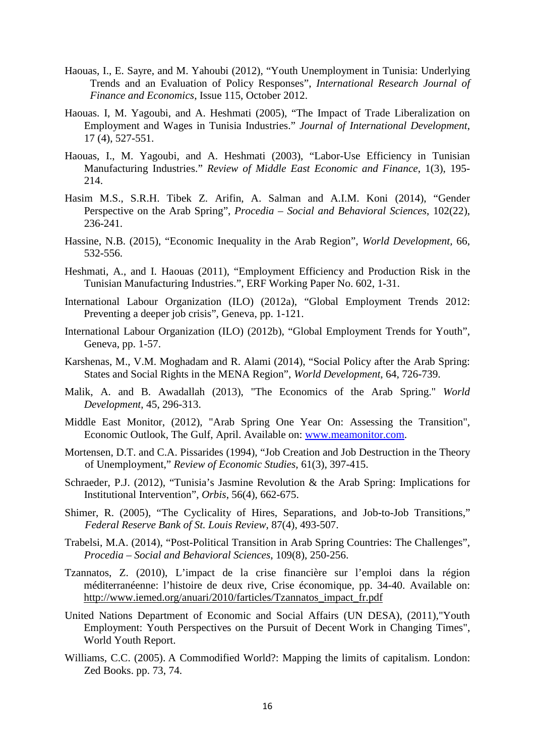- Haouas, I., E. Sayre, and M. Yahoubi (2012), "Youth Unemployment in Tunisia: Underlying Trends and an Evaluation of Policy Responses", *International Research Journal of Finance and Economics*, Issue 115, October 2012.
- Haouas. I, M. Yagoubi, and A. Heshmati (2005), "The Impact of Trade Liberalization on Employment and Wages in Tunisia Industries." *Journal of International Development*, 17 (4), 527-551.
- Haouas, I., M. Yagoubi, and A. Heshmati (2003), "Labor-Use Efficiency in Tunisian Manufacturing Industries." *Review of Middle East Economic and Finance*, 1(3), 195- 214.
- Hasim M.S., S.R.H. Tibek Z. Arifin, A. Salman and A.I.M. Koni (2014), "Gender Perspective on the Arab Spring", *Procedia – Social and Behavioral Sciences*, 102(22), 236-241.
- Hassine, N.B. (2015), "Economic Inequality in the Arab Region", *World Development,* 66, 532-556.
- Heshmati, A., and I. Haouas (2011), "Employment Efficiency and Production Risk in the Tunisian Manufacturing Industries.", ERF Working Paper No. 602, 1-31.
- International Labour Organization (ILO) (2012a), "Global Employment Trends 2012: Preventing a deeper job crisis", Geneva, pp. 1-121.
- International Labour Organization (ILO) (2012b), "Global Employment Trends for Youth", Geneva, pp. 1-57.
- Karshenas, M., V.M. Moghadam and R. Alami (2014), "Social Policy after the Arab Spring: States and Social Rights in the MENA Region", *World Development*, 64, 726-739.
- Malik, A. and B. Awadallah (2013), "The Economics of the Arab Spring." *World Development*, 45, 296-313.
- Middle East Monitor, (2012), "Arab Spring One Year On: Assessing the Transition", Economic Outlook, The Gulf, April. Available on: [www.meamonitor.com.](http://www.meamonitor.com/)
- Mortensen, D.T. and C.A. Pissarides (1994), "Job Creation and Job Destruction in the Theory of Unemployment," *Review of Economic Studies*, 61(3), 397-415.
- Schraeder, P.J. (2012), "Tunisia's Jasmine Revolution & the Arab Spring: Implications for Institutional Intervention", *Orbis*, 56(4), 662-675.
- Shimer, R. (2005), "The Cyclicality of Hires, Separations, and Job-to-Job Transitions," *Federal Reserve Bank of St. Louis Review*, 87(4), 493-507.
- Trabelsi, M.A. (2014), "Post-Political Transition in Arab Spring Countries: The Challenges", *Procedia – Social and Behavioral Sciences*, 109(8), 250-256.
- Tzannatos, Z. (2010), L'impact de la crise financière sur l'emploi dans la région méditerranéenne: l'histoire de deux rive, Crise économique, pp. 34-40. Available on: [http://www.iemed.org/anuari/2010/farticles/Tzannatos\\_impact\\_fr.pdf](http://www.iemed.org/anuari/2010/farticles/Tzannatos_impact_fr.pdf)
- United Nations Department of Economic and Social Affairs (UN DESA), (2011),"Youth Employment: Youth Perspectives on the Pursuit of Decent Work in Changing Times", World Youth Report.
- Williams, C.C. (2005). A Commodified World?: Mapping the limits of capitalism. London: Zed Books. pp. 73, 74.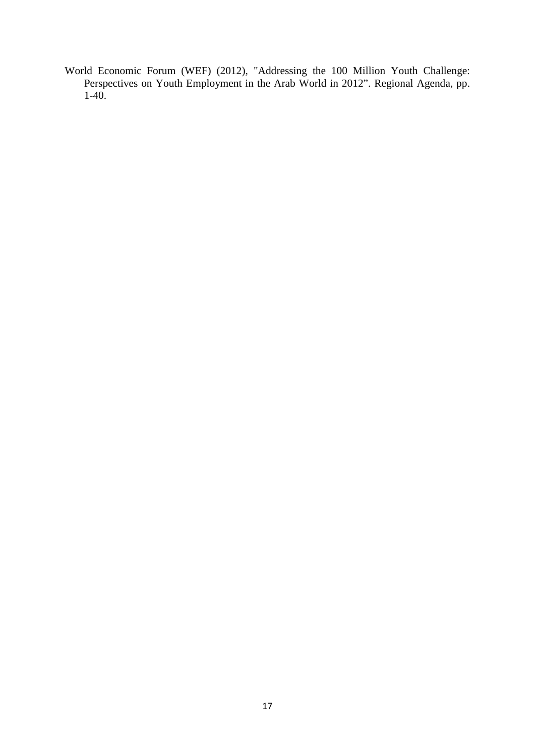World Economic Forum (WEF) (2012), "Addressing the 100 Million Youth Challenge: Perspectives on Youth Employment in the Arab World in 2012". Regional Agenda, pp.  $1-40.$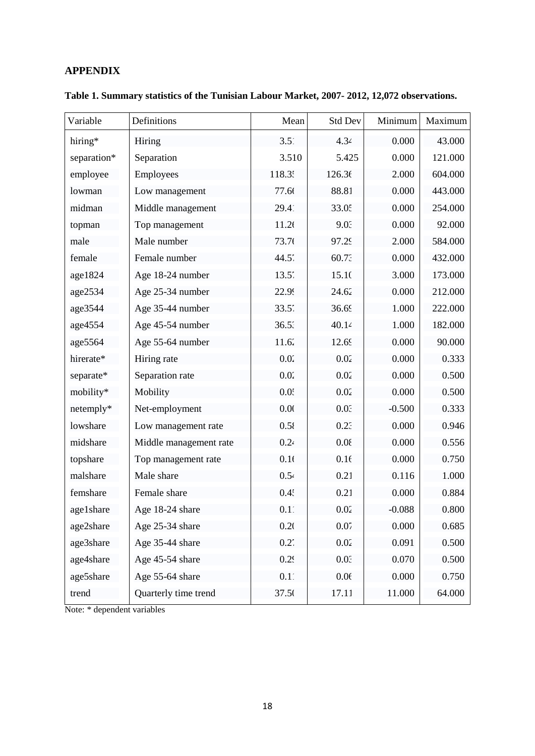## **APPENDIX**

| Variable    | Definitions            | Mean             | <b>Std Dev</b> | Minimum  | Maximum |
|-------------|------------------------|------------------|----------------|----------|---------|
| hiring*     | Hiring                 | 3.51             | 4.34           | 0.000    | 43.000  |
| separation* | Separation             | 3.510            | 5.425          | 0.000    | 121.000 |
| employee    | Employees              | 118.3.           | 126.36         | 2.000    | 604.000 |
| lowman      | Low management         | 77.66            | 88.81          | 0.000    | 443.000 |
| midman      | Middle management      | 29.41            | 33.05          | 0.000    | 254.000 |
| topman      | Top management         | 11.26            | 9.03           | 0.000    | 92.000  |
| male        | Male number            | 73.76            | 97.29          | 2.000    | 584.000 |
| female      | Female number          | $44.5^{\circ}$   | 60.73          | 0.000    | 432.000 |
| age1824     | Age 18-24 number       | 13.5'            | 15.10          | 3.000    | 173.000 |
| age2534     | Age 25-34 number       | 22.99            | 24.62          | 0.000    | 212.000 |
| age3544     | Age 35-44 number       | $33.5^{\circ}$   | 36.69          | 1.000    | 222.000 |
| age4554     | Age 45-54 number       | 36.53            | 40.14          | 1.000    | 182.000 |
| age5564     | Age 55-64 number       | 11.62            | 12.69          | 0.000    | 90.000  |
| hirerate*   | Hiring rate            | 0.02             | 0.02           | 0.000    | 0.333   |
| separate*   | Separation rate        | 0.02             | 0.02           | 0.000    | 0.500   |
| mobility*   | Mobility               | $0.0^{4}$        | 0.02           | 0.000    | 0.500   |
| netemply*   | Net-employment         | 0.00             | 0.01           | $-0.500$ | 0.333   |
| lowshare    | Low management rate    | 0.58             | 0.23           | 0.000    | 0.946   |
| midshare    | Middle management rate | 0.24             | 0.08           | 0.000    | 0.556   |
| topshare    | Top management rate    | 0.16             | 0.16           | 0.000    | 0.750   |
| malshare    | Male share             | 0.54             | 0.21           | 0.116    | 1.000   |
| femshare    | Female share           | 0.4 <sup>2</sup> | 0.21           | 0.000    | 0.884   |
| age1share   | Age 18-24 share        | 0.11             | 0.02           | $-0.088$ | 0.800   |
| age2share   | Age 25-34 share        | 0.20             | 0.07           | 0.000    | 0.685   |
| age3share   | Age 35-44 share        | 0.27             | 0.02           | 0.091    | 0.500   |
| age4share   | Age 45-54 share        | 0.29             | 0.01           | 0.070    | 0.500   |
| age5share   | Age 55-64 share        | 0.11             | 0.06           | 0.000    | 0.750   |
| trend       | Quarterly time trend   | 37.50            | 17.11          | 11.000   | 64.000  |

**Table 1. Summary statistics of the Tunisian Labour Market, 2007- 2012, 12,072 observations.**

Note: \* dependent variables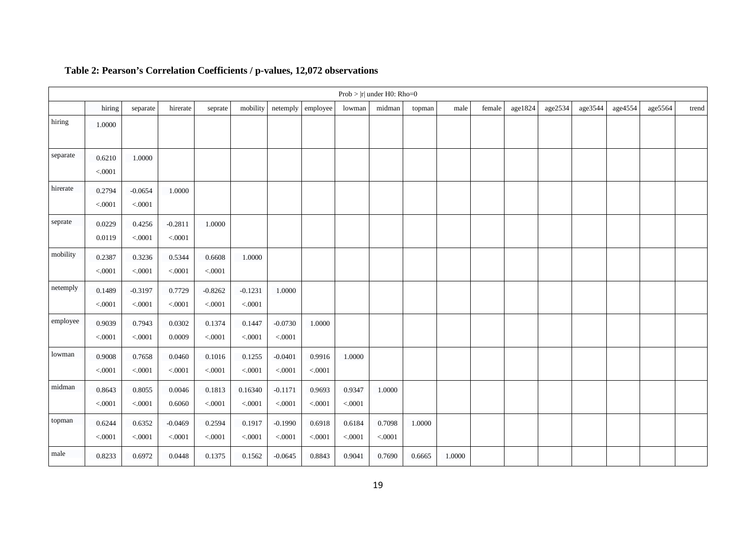|          |                   |                      |                            |                      |                      |                      |                         |                   | $Prob >  r $ under H0: Rho=0 |        |        |        |         |         |         |         |         |       |
|----------|-------------------|----------------------|----------------------------|----------------------|----------------------|----------------------|-------------------------|-------------------|------------------------------|--------|--------|--------|---------|---------|---------|---------|---------|-------|
|          | hiring            | separate             | hirerate                   | seprate              | mobility             | netemply             | employee                | lowman            | midman                       | topman | male   | female | age1824 | age2534 | age3544 | age4554 | age5564 | trend |
| hiring   | 1.0000            |                      |                            |                      |                      |                      |                         |                   |                              |        |        |        |         |         |         |         |         |       |
| separate | 0.6210<br>< .0001 | 1.0000               |                            |                      |                      |                      |                         |                   |                              |        |        |        |         |         |         |         |         |       |
| hirerate | 0.2794<br>< .0001 | $-0.0654$<br>< .0001 | 1.0000                     |                      |                      |                      |                         |                   |                              |        |        |        |         |         |         |         |         |       |
| seprate  | 0.0229<br>0.0119  | 0.4256<br>$<0.001$   | $-0.2811$<br>$<\!\! .0001$ | 1.0000               |                      |                      |                         |                   |                              |        |        |        |         |         |         |         |         |       |
| mobility | 0.2387<br>< .0001 | 0.3236<br>< .0001    | 0.5344<br>$<0001$          | 0.6608<br>< .0001    | 1.0000               |                      |                         |                   |                              |        |        |        |         |         |         |         |         |       |
| netemply | 0.1489<br>< .0001 | $-0.3197$<br>< .0001 | 0.7729<br>$<0001$          | $-0.8262$<br>< .0001 | $-0.1231$<br>$<0001$ | 1.0000               |                         |                   |                              |        |        |        |         |         |         |         |         |       |
| employee | 0.9039<br>< .0001 | 0.7943<br>< .0001    | 0.0302<br>0.0009           | 0.1374<br>$< 0001$   | 0.1447<br>$<0001$    | $-0.0730$<br>< .0001 | 1.0000                  |                   |                              |        |        |        |         |         |         |         |         |       |
| lowman   | 0.9008<br>< .0001 | 0.7658<br>$<0.001$   | 0.0460<br>< .0001          | 0.1016<br>< .0001    | 0.1255<br>< .0001    | $-0.0401$<br>< .0001 | 0.9916<br>$<\!\! .0001$ | 1.0000            |                              |        |        |        |         |         |         |         |         |       |
| midman   | 0.8643<br>< .0001 | 0.8055<br>< .0001    | 0.0046<br>0.6060           | 0.1813<br>$< 0001$   | 0.16340<br>< 0.001   | $-0.1171$<br>< .0001 | 0.9693<br>$<0001$       | 0.9347<br>< .0001 | 1.0000                       |        |        |        |         |         |         |         |         |       |
| topman   | 0.6244<br>< .0001 | 0.6352<br>< .0001    | $-0.0469$<br>$<0001$       | 0.2594<br>< .0001    | 0.1917<br>< 0.001    | $-0.1990$<br>< .0001 | 0.6918<br>< .0001       | 0.6184<br>< .0001 | 0.7098<br>$< 0001$           | 1.0000 |        |        |         |         |         |         |         |       |
| male     | 0.8233            | 0.6972               | 0.0448                     | 0.1375               | 0.1562               | $-0.0645$            | 0.8843                  | 0.9041            | 0.7690                       | 0.6665 | 1.0000 |        |         |         |         |         |         |       |

# **Table 2: Pearson's Correlation Coefficients / p-values, 12,072 observations**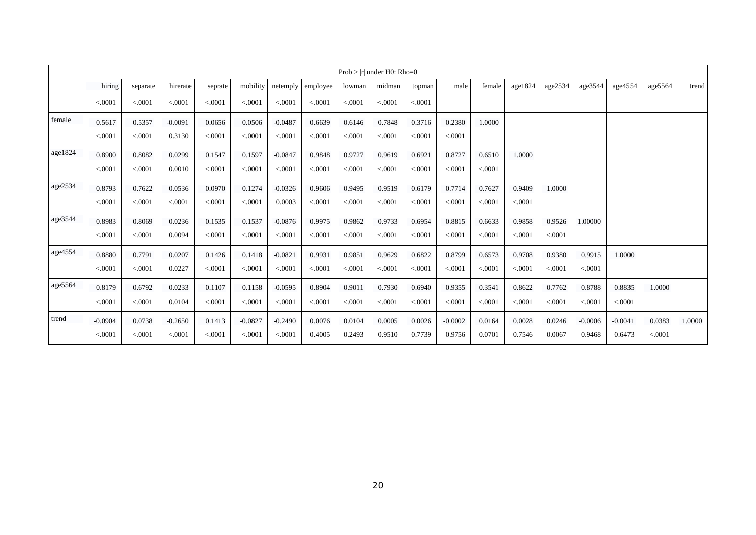|         |           |          |           |         |           |           |          |         | Prob $>$  r  under H0: Rho=0 |          |           |         |          |          |           |           |          |        |
|---------|-----------|----------|-----------|---------|-----------|-----------|----------|---------|------------------------------|----------|-----------|---------|----------|----------|-----------|-----------|----------|--------|
|         | hiring    | separate | hirerate  | seprate | mobility  | netemply  | employee | lowman  | midman                       | topman   | male      | female  | age1824  | age2534  | age3544   | age4554   | age5564  | trend  |
|         | < .0001   | < 0.0001 | < .0001   | < .0001 | < .0001   | < .0001   | < .0001  | < .0001 | < .0001                      | < .0001  |           |         |          |          |           |           |          |        |
| female  | 0.5617    | 0.5357   | $-0.0091$ | 0.0656  | 0.0506    | $-0.0487$ | 0.6639   | 0.6146  | 0.7848                       | 0.3716   | 0.2380    | 1.0000  |          |          |           |           |          |        |
|         | < .0001   | < .0001  | 0.3130    | < .0001 | < .0001   | < .0001   | < .0001  | < .0001 | < .0001                      | < .0001  | < .0001   |         |          |          |           |           |          |        |
| age1824 | 0.8900    | 0.8082   | 0.0299    | 0.1547  | 0.1597    | $-0.0847$ | 0.9848   | 0.9727  | 0.9619                       | 0.6921   | 0.8727    | 0.6510  | 1.0000   |          |           |           |          |        |
|         | < .0001   | < .0001  | 0.0010    | < .0001 | < .0001   | < .0001   | < 0.0001 | < .0001 | < .0001                      | < 0.0001 | < .0001   | < .0001 |          |          |           |           |          |        |
| age2534 | 0.8793    | 0.7622   | 0.0536    | 0.0970  | 0.1274    | $-0.0326$ | 0.9606   | 0.9495  | 0.9519                       | 0.6179   | 0.7714    | 0.7627  | 0.9409   | 1.0000   |           |           |          |        |
|         | < .0001   | < 0.0001 | < .0001   | < .0001 | < .0001   | 0.0003    | < .0001  | < .0001 | < .0001                      | < 0.0001 | < .0001   | < .0001 | < .0001  |          |           |           |          |        |
| age3544 | 0.8983    | 0.8069   | 0.0236    | 0.1535  | 0.1537    | $-0.0876$ | 0.9975   | 0.9862  | 0.9733                       | 0.6954   | 0.8815    | 0.6633  | 0.9858   | 0.9526   | 1.00000   |           |          |        |
|         | < .0001   | < .0001  | 0.0094    | < .0001 | < 0001    | < .0001   | < 0001   | < .0001 | < .0001                      | < 0.0001 | < .0001   | < .0001 | < .0001  | < 0.0001 |           |           |          |        |
| age4554 | 0.8880    | 0.7791   | 0.0207    | 0.1426  | 0.1418    | $-0.0821$ | 0.9931   | 0.9851  | 0.9629                       | 0.6822   | 0.8799    | 0.6573  | 0.9708   | 0.9380   | 0.9915    | 1.0000    |          |        |
|         | < .0001   | < 0.0001 | 0.0227    | < .0001 | < .0001   | < .0001   | < .0001  | < .0001 | < 0.0001                     | < .0001  | < .0001   | < .0001 | < 0.0001 | < 0.0001 | < 0.0001  |           |          |        |
| age5564 | 0.8179    | 0.6792   | 0.0233    | 0.1107  | 0.1158    | $-0.0595$ | 0.8904   | 0.9011  | 0.7930                       | 0.6940   | 0.9355    | 0.3541  | 0.8622   | 0.7762   | 0.8788    | 0.8835    | 1.0000   |        |
|         | < .0001   | < 0.0001 | 0.0104    | < .0001 | < 0001    | < .0001   | < 0001   | < .0001 | < .0001                      | < .0001  | < .0001   | < .0001 | < 0.0001 | < 0.0001 | < .0001   | < 0.0001  |          |        |
| trend   | $-0.0904$ | 0.0738   | $-0.2650$ | 0.1413  | $-0.0827$ | $-0.2490$ | 0.0076   | 0.0104  | 0.0005                       | 0.0026   | $-0.0002$ | 0.0164  | 0.0028   | 0.0246   | $-0.0006$ | $-0.0041$ | 0.0383   | 1.0000 |
|         | < .0001   | < .0001  | < .0001   | < .0001 | < .0001   | < .0001   | 0.4005   | 0.2493  | 0.9510                       | 0.7739   | 0.9756    | 0.0701  | 0.7546   | 0.0067   | 0.9468    | 0.6473    | < 0.0001 |        |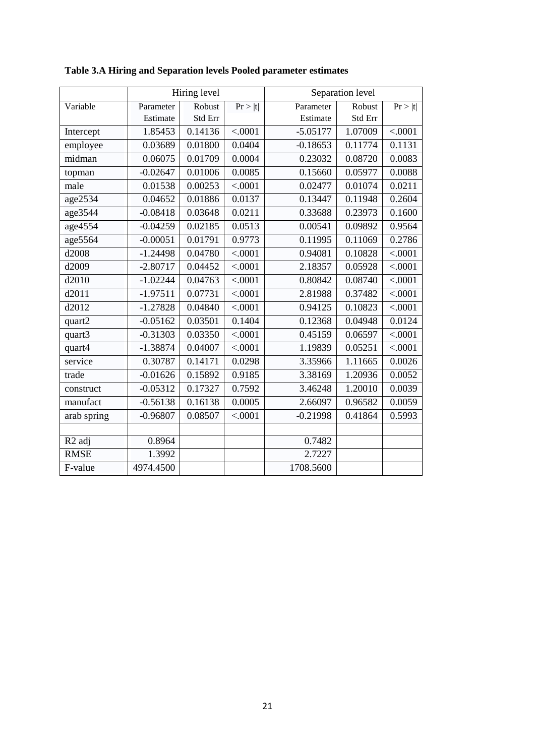|                      |            | Hiring level |         |            | Separation level |         |
|----------------------|------------|--------------|---------|------------|------------------|---------|
| Variable             | Parameter  | Robust       | Pr >  t | Parameter  | Robust           | Pr >  t |
|                      | Estimate   | Std Err      |         | Estimate   | Std Err          |         |
| Intercept            | 1.85453    | 0.14136      | < .0001 | $-5.05177$ | 1.07009          | < .0001 |
| employee             | 0.03689    | 0.01800      | 0.0404  | $-0.18653$ | 0.11774          | 0.1131  |
| midman               | 0.06075    | 0.01709      | 0.0004  | 0.23032    | 0.08720          | 0.0083  |
| topman               | $-0.02647$ | 0.01006      | 0.0085  | 0.15660    | 0.05977          | 0.0088  |
| male                 | 0.01538    | 0.00253      | < .0001 | 0.02477    | 0.01074          | 0.0211  |
| age2534              | 0.04652    | 0.01886      | 0.0137  | 0.13447    | 0.11948          | 0.2604  |
| age3544              | $-0.08418$ | 0.03648      | 0.0211  | 0.33688    | 0.23973          | 0.1600  |
| $age455\overline{4}$ | $-0.04259$ | 0.02185      | 0.0513  | 0.00541    | 0.09892          | 0.9564  |
| age5564              | $-0.00051$ | 0.01791      | 0.9773  | 0.11995    | 0.11069          | 0.2786  |
| d2008                | $-1.24498$ | 0.04780      | < .0001 | 0.94081    | 0.10828          | < .0001 |
| d2009                | $-2.80717$ | 0.04452      | < .0001 | 2.18357    | 0.05928          | < .0001 |
| d2010                | $-1.02244$ | 0.04763      | < .0001 | 0.80842    | 0.08740          | < .0001 |
| d2011                | $-1.97511$ | 0.07731      | < .0001 | 2.81988    | 0.37482          | < .0001 |
| d2012                | $-1.27828$ | 0.04840      | < .0001 | 0.94125    | 0.10823          | < .0001 |
| quart2               | $-0.05162$ | 0.03501      | 0.1404  | 0.12368    | 0.04948          | 0.0124  |
| quart3               | $-0.31303$ | 0.03350      | < .0001 | 0.45159    | 0.06597          | < .0001 |
| quart4               | $-1.38874$ | 0.04007      | < .0001 | 1.19839    | 0.05251          | < .0001 |
| service              | 0.30787    | 0.14171      | 0.0298  | 3.35966    | 1.11665          | 0.0026  |
| trade                | $-0.01626$ | 0.15892      | 0.9185  | 3.38169    | 1.20936          | 0.0052  |
| construct            | $-0.05312$ | 0.17327      | 0.7592  | 3.46248    | 1.20010          | 0.0039  |
| manufact             | $-0.56138$ | 0.16138      | 0.0005  | 2.66097    | 0.96582          | 0.0059  |
| arab spring          | $-0.96807$ | 0.08507      | < .0001 | $-0.21998$ | 0.41864          | 0.5993  |
|                      |            |              |         |            |                  |         |
| R <sub>2</sub> adj   | 0.8964     |              |         | 0.7482     |                  |         |
| <b>RMSE</b>          | 1.3992     |              |         | 2.7227     |                  |         |
| F-value              | 4974.4500  |              |         | 1708.5600  |                  |         |

**Table 3.A Hiring and Separation levels Pooled parameter estimates**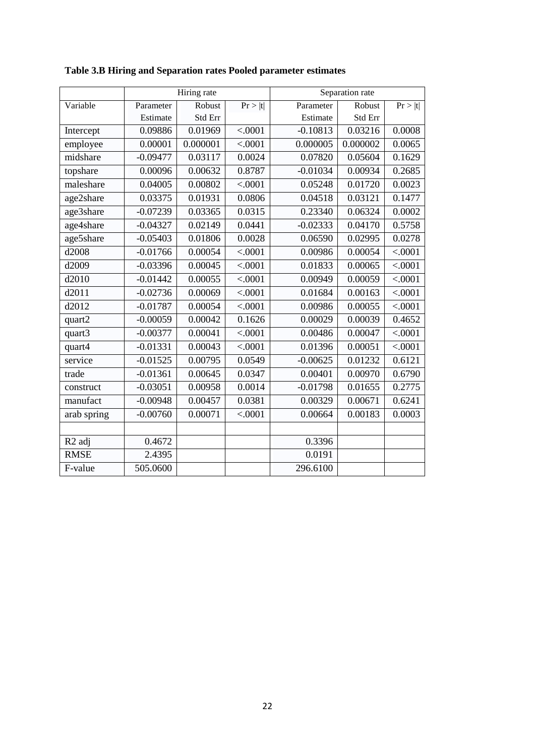|                    |            | Hiring rate |         |            | Separation rate |         |
|--------------------|------------|-------------|---------|------------|-----------------|---------|
| Variable           | Parameter  | Robust      | Pr >  t | Parameter  | Robust          | Pr >  t |
|                    | Estimate   | Std Err     |         | Estimate   | Std Err         |         |
| Intercept          | 0.09886    | 0.01969     | < .0001 | $-0.10813$ | 0.03216         | 0.0008  |
| employee           | 0.00001    | 0.000001    | < .0001 | 0.000005   | 0.000002        | 0.0065  |
| midshare           | $-0.09477$ | 0.03117     | 0.0024  | 0.07820    | 0.05604         | 0.1629  |
| topshare           | 0.00096    | 0.00632     | 0.8787  | $-0.01034$ | 0.00934         | 0.2685  |
| maleshare          | 0.04005    | 0.00802     | < .0001 | 0.05248    | 0.01720         | 0.0023  |
| age2share          | 0.03375    | 0.01931     | 0.0806  | 0.04518    | 0.03121         | 0.1477  |
| age3share          | $-0.07239$ | 0.03365     | 0.0315  | 0.23340    | 0.06324         | 0.0002  |
| age4share          | $-0.04327$ | 0.02149     | 0.0441  | $-0.02333$ | 0.04170         | 0.5758  |
| age5share          | $-0.05403$ | 0.01806     | 0.0028  | 0.06590    | 0.02995         | 0.0278  |
| d2008              | $-0.01766$ | 0.00054     | < .0001 | 0.00986    | 0.00054         | < .0001 |
| d2009              | $-0.03396$ | 0.00045     | < .0001 | 0.01833    | 0.00065         | < .0001 |
| d2010              | $-0.01442$ | 0.00055     | < .0001 | 0.00949    | 0.00059         | < .0001 |
| d2011              | $-0.02736$ | 0.00069     | < .0001 | 0.01684    | 0.00163         | < .0001 |
| d2012              | $-0.01787$ | 0.00054     | < .0001 | 0.00986    | 0.00055         | < .0001 |
| quart2             | $-0.00059$ | 0.00042     | 0.1626  | 0.00029    | 0.00039         | 0.4652  |
| quart3             | $-0.00377$ | 0.00041     | < .0001 | 0.00486    | 0.00047         | < .0001 |
| quart4             | $-0.01331$ | 0.00043     | < .0001 | 0.01396    | 0.00051         | < .0001 |
| service            | $-0.01525$ | 0.00795     | 0.0549  | $-0.00625$ | 0.01232         | 0.6121  |
| trade              | $-0.01361$ | 0.00645     | 0.0347  | 0.00401    | 0.00970         | 0.6790  |
| construct          | $-0.03051$ | 0.00958     | 0.0014  | $-0.01798$ | 0.01655         | 0.2775  |
| manufact           | $-0.00948$ | 0.00457     | 0.0381  | 0.00329    | 0.00671         | 0.6241  |
| arab spring        | $-0.00760$ | 0.00071     | < .0001 | 0.00664    | 0.00183         | 0.0003  |
|                    |            |             |         |            |                 |         |
| R <sub>2</sub> adj | 0.4672     |             |         | 0.3396     |                 |         |
| <b>RMSE</b>        | 2.4395     |             |         | 0.0191     |                 |         |
| F-value            | 505.0600   |             |         | 296.6100   |                 |         |

**Table 3.B Hiring and Separation rates Pooled parameter estimates**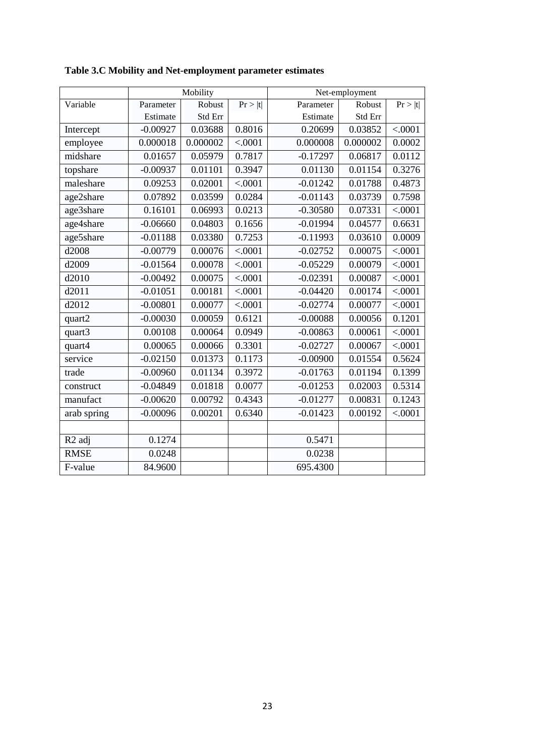|                    |            | Mobility |         |            | Net-employment |                       |
|--------------------|------------|----------|---------|------------|----------------|-----------------------|
| Variable           | Parameter  | Robust   | Pr >  t | Parameter  | Robust         | $\overline{Pr} >  t $ |
|                    | Estimate   | Std Err  |         | Estimate   | Std Err        |                       |
| Intercept          | $-0.00927$ | 0.03688  | 0.8016  | 0.20699    | 0.03852        | < .0001               |
| employee           | 0.000018   | 0.000002 | < .0001 | 0.000008   | 0.000002       | 0.0002                |
| midshare           | 0.01657    | 0.05979  | 0.7817  | $-0.17297$ | 0.06817        | 0.0112                |
| topshare           | $-0.00937$ | 0.01101  | 0.3947  | 0.01130    | 0.01154        | 0.3276                |
| maleshare          | 0.09253    | 0.02001  | < .0001 | $-0.01242$ | 0.01788        | 0.4873                |
| age2share          | 0.07892    | 0.03599  | 0.0284  | $-0.01143$ | 0.03739        | 0.7598                |
| age3share          | 0.16101    | 0.06993  | 0.0213  | $-0.30580$ | 0.07331        | < .0001               |
| age4share          | $-0.06660$ | 0.04803  | 0.1656  | $-0.01994$ | 0.04577        | 0.6631                |
| age5share          | $-0.01188$ | 0.03380  | 0.7253  | $-0.11993$ | 0.03610        | 0.0009                |
| d2008              | $-0.00779$ | 0.00076  | < .0001 | $-0.02752$ | 0.00075        | < .0001               |
| d2009              | $-0.01564$ | 0.00078  | < .0001 | $-0.05229$ | 0.00079        | < .0001               |
| d2010              | $-0.00492$ | 0.00075  | < .0001 | $-0.02391$ | 0.00087        | < .0001               |
| d2011              | $-0.01051$ | 0.00181  | < .0001 | $-0.04420$ | 0.00174        | < .0001               |
| d2012              | $-0.00801$ | 0.00077  | < .0001 | $-0.02774$ | 0.00077        | < .0001               |
| quart2             | $-0.00030$ | 0.00059  | 0.6121  | $-0.00088$ | 0.00056        | 0.1201                |
| quart3             | 0.00108    | 0.00064  | 0.0949  | $-0.00863$ | 0.00061        | < .0001               |
| quart4             | 0.00065    | 0.00066  | 0.3301  | $-0.02727$ | 0.00067        | < .0001               |
| service            | $-0.02150$ | 0.01373  | 0.1173  | $-0.00900$ | 0.01554        | 0.5624                |
| trade              | $-0.00960$ | 0.01134  | 0.3972  | $-0.01763$ | 0.01194        | 0.1399                |
| construct          | $-0.04849$ | 0.01818  | 0.0077  | $-0.01253$ | 0.02003        | 0.5314                |
| manufact           | $-0.00620$ | 0.00792  | 0.4343  | $-0.01277$ | 0.00831        | 0.1243                |
| arab spring        | $-0.00096$ | 0.00201  | 0.6340  | $-0.01423$ | 0.00192        | < .0001               |
|                    |            |          |         |            |                |                       |
| R <sub>2</sub> adj | 0.1274     |          |         | 0.5471     |                |                       |
| <b>RMSE</b>        | 0.0248     |          |         | 0.0238     |                |                       |
| F-value            | 84.9600    |          |         | 695.4300   |                |                       |

**Table 3.C Mobility and Net-employment parameter estimates**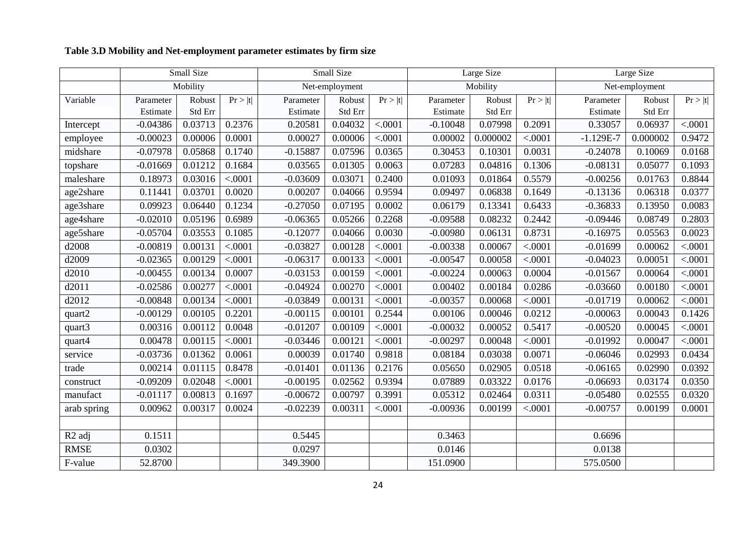# **Table 3.D Mobility and Net-employment parameter estimates by firm size**

|                    |            | Small Size |         |            | Small Size     |         |            | Large Size |         | Large Size  |                |                |  |
|--------------------|------------|------------|---------|------------|----------------|---------|------------|------------|---------|-------------|----------------|----------------|--|
|                    |            | Mobility   |         |            | Net-employment |         |            | Mobility   |         |             | Net-employment |                |  |
| Variable           | Parameter  | Robust     | Pr >  t | Parameter  | Robust         | Pr >  t | Parameter  | Robust     | Pr >  t | Parameter   | Robust         | Pr >  t        |  |
|                    | Estimate   | Std Err    |         | Estimate   | Std Err        |         | Estimate   | Std Err    |         | Estimate    | Std Err        |                |  |
| Intercept          | $-0.04386$ | 0.03713    | 0.2376  | 0.20581    | 0.04032        | < .0001 | $-0.10048$ | 0.07998    | 0.2091  | 0.33057     | 0.06937        | < .0001        |  |
| employee           | $-0.00023$ | 0.00006    | 0.0001  | 0.00027    | 0.00006        | < .0001 | 0.00002    | 0.000002   | < .0001 | $-1.129E-7$ | 0.000002       | 0.9472         |  |
| midshare           | $-0.07978$ | 0.05868    | 0.1740  | $-0.15887$ | 0.07596        | 0.0365  | 0.30453    | 0.10301    | 0.0031  | $-0.24078$  | 0.10069        | 0.0168         |  |
| topshare           | $-0.01669$ | 0.01212    | 0.1684  | 0.03565    | 0.01305        | 0.0063  | 0.07283    | 0.04816    | 0.1306  | $-0.08131$  | 0.05077        | 0.1093         |  |
| maleshare          | 0.18973    | 0.03016    | < .0001 | $-0.03609$ | 0.03071        | 0.2400  | 0.01093    | 0.01864    | 0.5579  | $-0.00256$  | 0.01763        | 0.8844         |  |
| age2share          | 0.11441    | 0.03701    | 0.0020  | 0.00207    | 0.04066        | 0.9594  | 0.09497    | 0.06838    | 0.1649  | $-0.13136$  | 0.06318        | 0.0377         |  |
| age3share          | 0.09923    | 0.06440    | 0.1234  | $-0.27050$ | 0.07195        | 0.0002  | 0.06179    | 0.13341    | 0.6433  | $-0.36833$  | 0.13950        | 0.0083         |  |
| age4share          | $-0.02010$ | 0.05196    | 0.6989  | $-0.06365$ | 0.05266        | 0.2268  | $-0.09588$ | 0.08232    | 0.2442  | $-0.09446$  | 0.08749        | 0.2803         |  |
| age5share          | $-0.05704$ | 0.03553    | 0.1085  | $-0.12077$ | 0.04066        | 0.0030  | $-0.00980$ | 0.06131    | 0.8731  | $-0.16975$  | 0.05563        | 0.0023         |  |
| d2008              | $-0.00819$ | 0.00131    | < .0001 | $-0.03827$ | 0.00128        | < .0001 | $-0.00338$ | 0.00067    | < .0001 | $-0.01699$  | 0.00062        | < .0001        |  |
| d2009              | $-0.02365$ | 0.00129    | < .0001 | $-0.06317$ | 0.00133        | < .0001 | $-0.00547$ | 0.00058    | < .0001 | $-0.04023$  | 0.00051        | < .0001        |  |
| d2010              | $-0.00455$ | 0.00134    | 0.0007  | $-0.03153$ | 0.00159        | < .0001 | $-0.00224$ | 0.00063    | 0.0004  | $-0.01567$  | 0.00064        | < .0001        |  |
| d2011              | $-0.02586$ | 0.00277    | < .0001 | $-0.04924$ | 0.00270        | < .0001 | 0.00402    | 0.00184    | 0.0286  | $-0.03660$  | 0.00180        | < .0001        |  |
| d2012              | $-0.00848$ | 0.00134    | < .0001 | $-0.03849$ | 0.00131        | < .0001 | $-0.00357$ | 0.00068    | < .0001 | $-0.01719$  | 0.00062        | $\sqrt{0.001}$ |  |
| quart2             | $-0.00129$ | 0.00105    | 0.2201  | $-0.00115$ | 0.00101        | 0.2544  | 0.00106    | 0.00046    | 0.0212  | $-0.00063$  | 0.00043        | 0.1426         |  |
| quart3             | 0.00316    | 0.00112    | 0.0048  | $-0.01207$ | 0.00109        | < .0001 | $-0.00032$ | 0.00052    | 0.5417  | $-0.00520$  | 0.00045        | < .0001        |  |
| quart4             | 0.00478    | 0.00115    | < .0001 | $-0.03446$ | 0.00121        | < .0001 | $-0.00297$ | 0.00048    | < .0001 | $-0.01992$  | 0.00047        | < .0001        |  |
| service            | $-0.03736$ | 0.01362    | 0.0061  | 0.00039    | 0.01740        | 0.9818  | 0.08184    | 0.03038    | 0.0071  | $-0.06046$  | 0.02993        | 0.0434         |  |
| trade              | 0.00214    | 0.01115    | 0.8478  | $-0.01401$ | 0.01136        | 0.2176  | 0.05650    | 0.02905    | 0.0518  | $-0.06165$  | 0.02990        | 0.0392         |  |
| construct          | $-0.09209$ | 0.02048    | < .0001 | $-0.00195$ | 0.02562        | 0.9394  | 0.07889    | 0.03322    | 0.0176  | $-0.06693$  | 0.03174        | 0.0350         |  |
| manufact           | $-0.01117$ | 0.00813    | 0.1697  | $-0.00672$ | 0.00797        | 0.3991  | 0.05312    | 0.02464    | 0.0311  | $-0.05480$  | 0.02555        | 0.0320         |  |
| arab spring        | 0.00962    | 0.00317    | 0.0024  | $-0.02239$ | 0.00311        | < .0001 | $-0.00936$ | 0.00199    | < .0001 | $-0.00757$  | 0.00199        | 0.0001         |  |
|                    |            |            |         |            |                |         |            |            |         |             |                |                |  |
| R <sub>2</sub> adj | 0.1511     |            |         | 0.5445     |                |         | 0.3463     |            |         | 0.6696      |                |                |  |
| <b>RMSE</b>        | 0.0302     |            |         | 0.0297     |                |         | 0.0146     |            |         | 0.0138      |                |                |  |
| F-value            | 52.8700    |            |         | 349.3900   |                |         | 151.0900   |            |         | 575.0500    |                |                |  |